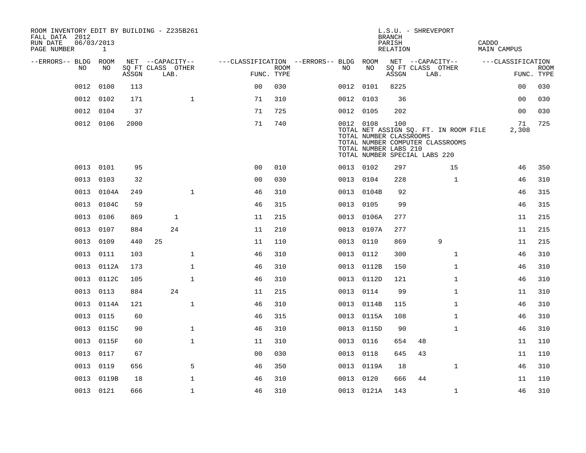| ROOM INVENTORY EDIT BY BUILDING - Z235B261<br>FALL DATA 2012 |            |              |       |    |                                               |                                        |                           |           |            | L.S.U. - SHREVEPORT<br><b>BRANCH</b>                                                     |      |                                                                           |                             |                           |
|--------------------------------------------------------------|------------|--------------|-------|----|-----------------------------------------------|----------------------------------------|---------------------------|-----------|------------|------------------------------------------------------------------------------------------|------|---------------------------------------------------------------------------|-----------------------------|---------------------------|
| RUN DATE<br>PAGE NUMBER                                      | 06/03/2013 | $\mathbf{1}$ |       |    |                                               |                                        |                           |           |            | PARISH<br>RELATION                                                                       |      |                                                                           | CADDO<br><b>MAIN CAMPUS</b> |                           |
| --ERRORS-- BLDG ROOM                                         | NO.        | NO.          | ASSGN |    | NET --CAPACITY--<br>SQ FT CLASS OTHER<br>LAB. | ---CLASSIFICATION --ERRORS-- BLDG ROOM | <b>ROOM</b><br>FUNC. TYPE | NO.       | NO         | NET --CAPACITY--<br>ASSGN                                                                | LAB. | SQ FT CLASS OTHER                                                         | ---CLASSIFICATION           | <b>ROOM</b><br>FUNC. TYPE |
|                                                              | 0012       | 0100         | 113   |    |                                               | 0 <sup>0</sup>                         | 030                       | 0012 0101 |            | 8225                                                                                     |      |                                                                           | 00                          | 030                       |
|                                                              | 0012       | 0102         | 171   |    | $\mathbf{1}$                                  | 71                                     | 310                       | 0012 0103 |            | 36                                                                                       |      |                                                                           | 00                          | 030                       |
|                                                              | 0012       | 0104         | 37    |    |                                               | 71                                     | 725                       | 0012 0105 |            | 202                                                                                      |      |                                                                           | 0 <sub>0</sub>              | 030                       |
|                                                              | 0012 0106  |              | 2000  |    |                                               | 71                                     | 740                       | 0012 0108 |            | 100<br>TOTAL NUMBER CLASSROOMS<br>TOTAL NUMBER LABS 210<br>TOTAL NUMBER SPECIAL LABS 220 |      | TOTAL NET ASSIGN SQ. FT. IN ROOM FILE<br>TOTAL NUMBER COMPUTER CLASSROOMS | 71<br>2,308                 | 725                       |
|                                                              | 0013 0101  |              | 95    |    |                                               | 0 <sub>0</sub>                         | 010                       | 0013 0102 |            | 297                                                                                      |      | 15                                                                        | 46                          | 350                       |
|                                                              | 0013       | 0103         | 32    |    |                                               | 0 <sub>0</sub>                         | 030                       | 0013 0104 |            | 228                                                                                      |      | $\mathbf{1}$                                                              | 46                          | 310                       |
|                                                              | 0013       | 0104A        | 249   |    | $\mathbf{1}$                                  | 46                                     | 310                       | 0013      | 0104B      | 92                                                                                       |      |                                                                           | 46                          | 315                       |
|                                                              | 0013       | 0104C        | 59    |    |                                               | 46                                     | 315                       | 0013 0105 |            | 99                                                                                       |      |                                                                           | 46                          | 315                       |
|                                                              | 0013       | 0106         | 869   |    | $\mathbf{1}$                                  | 11                                     | 215                       | 0013      | 0106A      | 277                                                                                      |      |                                                                           | 11                          | 215                       |
|                                                              | 0013       | 0107         | 884   |    | 24                                            | 11                                     | 210                       |           | 0013 0107A | 277                                                                                      |      |                                                                           | 11                          | 215                       |
|                                                              | 0013       | 0109         | 440   | 25 |                                               | 11                                     | 110                       | 0013      | 0110       | 869                                                                                      |      | 9                                                                         | 11                          | 215                       |
|                                                              | 0013       | 0111         | 103   |    | $\mathbf{1}$                                  | 46                                     | 310                       | 0013 0112 |            | 300                                                                                      |      | $\mathbf{1}$                                                              | 46                          | 310                       |
|                                                              | 0013       | 0112A        | 173   |    | $\mathbf{1}$                                  | 46                                     | 310                       |           | 0013 0112B | 150                                                                                      |      | $\mathbf{1}$                                                              | 46                          | 310                       |
|                                                              |            | 0013 0112C   | 105   |    | $\mathbf{1}$                                  | 46                                     | 310                       |           | 0013 0112D | 121                                                                                      |      | $\mathbf{1}$                                                              | 46                          | 310                       |
|                                                              | 0013       | 0113         | 884   |    | 24                                            | 11                                     | 215                       | 0013      | 0114       | 99                                                                                       |      | $\mathbf{1}$                                                              | 11                          | 310                       |
|                                                              | 0013       | 0114A        | 121   |    | $\mathbf 1$                                   | 46                                     | 310                       |           | 0013 0114B | 115                                                                                      |      | $\mathbf{1}$                                                              | 46                          | 310                       |
|                                                              | 0013       | 0115         | 60    |    |                                               | 46                                     | 315                       |           | 0013 0115A | 108                                                                                      |      | $\mathbf{1}$                                                              | 46                          | 310                       |
|                                                              | 0013       | 0115C        | 90    |    | $\mathbf 1$                                   | 46                                     | 310                       |           | 0013 0115D | 90                                                                                       |      | $\mathbf{1}$                                                              | 46                          | 310                       |
|                                                              | 0013       | 0115F        | 60    |    | $\mathbf 1$                                   | 11                                     | 310                       | 0013      | 0116       | 654                                                                                      | 48   |                                                                           | 11                          | 110                       |
|                                                              | 0013       | 0117         | 67    |    |                                               | 0 <sub>0</sub>                         | 030                       | 0013 0118 |            | 645                                                                                      | 43   |                                                                           | 11                          | 110                       |
|                                                              | 0013       | 0119         | 656   |    | 5                                             | 46                                     | 350                       | 0013      | 0119A      | 18                                                                                       |      | $\mathbf{1}$                                                              | 46                          | 310                       |
|                                                              | 0013       | 0119B        | 18    |    | $\mathbf 1$                                   | 46                                     | 310                       | 0013      | 0120       | 666                                                                                      | 44   |                                                                           | 11                          | 110                       |
|                                                              | 0013 0121  |              | 666   |    | $\mathbf{1}$                                  | 46                                     | 310                       |           | 0013 0121A | 143                                                                                      |      | $\mathbf{1}$                                                              | 46                          | 310                       |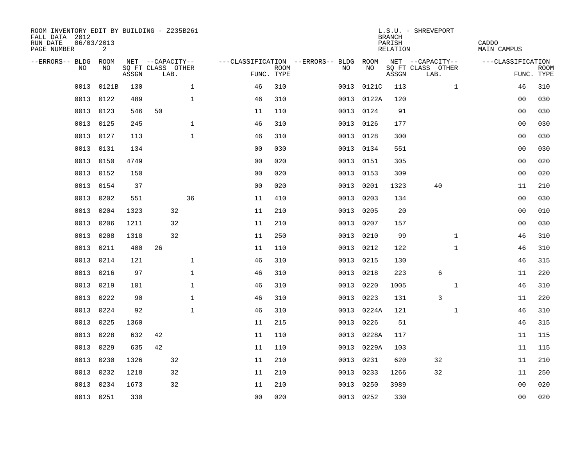| ROOM INVENTORY EDIT BY BUILDING - Z235B261<br>FALL DATA 2012<br>RUN DATE<br>PAGE NUMBER | 06/03/2013<br>2 |       |                           |              |                                   |                           |           |            | <b>BRANCH</b><br>PARISH<br>RELATION | L.S.U. - SHREVEPORT       | CADDO<br>MAIN CAMPUS |                           |
|-----------------------------------------------------------------------------------------|-----------------|-------|---------------------------|--------------|-----------------------------------|---------------------------|-----------|------------|-------------------------------------|---------------------------|----------------------|---------------------------|
| --ERRORS-- BLDG                                                                         | ROOM            |       | NET --CAPACITY--          |              | ---CLASSIFICATION --ERRORS-- BLDG |                           |           | ROOM       |                                     | NET --CAPACITY--          | ---CLASSIFICATION    |                           |
| N <sub>O</sub>                                                                          | NO.             | ASSGN | SO FT CLASS OTHER<br>LAB. |              |                                   | <b>ROOM</b><br>FUNC. TYPE | NO.       | NO         | ASSGN                               | SQ FT CLASS OTHER<br>LAB. |                      | <b>ROOM</b><br>FUNC. TYPE |
| 0013                                                                                    | 0121B           | 130   |                           | $\mathbf{1}$ | 46                                | 310                       | 0013      | 0121C      | 113                                 | $\mathbf{1}$              | 46                   | 310                       |
| 0013                                                                                    | 0122            | 489   |                           | $\mathbf{1}$ | 46                                | 310                       |           | 0013 0122A | 120                                 |                           | 0 <sub>0</sub>       | 030                       |
| 0013                                                                                    | 0123            | 546   | 50                        |              | 11                                | 110                       | 0013      | 0124       | 91                                  |                           | 0 <sub>0</sub>       | 030                       |
| 0013                                                                                    | 0125            | 245   |                           | $\mathbf{1}$ | 46                                | 310                       |           | 0013 0126  | 177                                 |                           | 0 <sub>0</sub>       | 030                       |
| 0013                                                                                    | 0127            | 113   |                           | $\mathbf 1$  | 46                                | 310                       | 0013      | 0128       | 300                                 |                           | 00                   | 030                       |
| 0013                                                                                    | 0131            | 134   |                           |              | 0 <sub>0</sub>                    | 030                       | 0013 0134 |            | 551                                 |                           | 0 <sub>0</sub>       | 030                       |
| 0013                                                                                    | 0150            | 4749  |                           |              | 0 <sub>0</sub>                    | 020                       | 0013      | 0151       | 305                                 |                           | 0 <sub>0</sub>       | 020                       |
| 0013                                                                                    | 0152            | 150   |                           |              | 0 <sub>0</sub>                    | 020                       | 0013      | 0153       | 309                                 |                           | 0 <sub>0</sub>       | 020                       |
| 0013                                                                                    | 0154            | 37    |                           |              | 0 <sub>0</sub>                    | 020                       | 0013      | 0201       | 1323                                | 40                        | 11                   | 210                       |
| 0013                                                                                    | 0202            | 551   |                           | 36           | 11                                | 410                       | 0013 0203 |            | 134                                 |                           | 00                   | 030                       |
| 0013                                                                                    | 0204            | 1323  |                           | 32           | 11                                | 210                       | 0013      | 0205       | 20                                  |                           | 00                   | 010                       |
| 0013                                                                                    | 0206            | 1211  |                           | 32           | 11                                | 210                       | 0013      | 0207       | 157                                 |                           | 0 <sub>0</sub>       | 030                       |
| 0013                                                                                    | 0208            | 1318  |                           | 32           | 11                                | 250                       | 0013      | 0210       | 99                                  | $\mathbf{1}$              | 46                   | 310                       |
| 0013                                                                                    | 0211            | 400   | 26                        |              | 11                                | 110                       | 0013 0212 |            | 122                                 | $\mathbf{1}$              | 46                   | 310                       |
| 0013                                                                                    | 0214            | 121   |                           | 1            | 46                                | 310                       | 0013      | 0215       | 130                                 |                           | 46                   | 315                       |
| 0013                                                                                    | 0216            | 97    |                           | $\mathbf 1$  | 46                                | 310                       | 0013      | 0218       | 223                                 | 6                         | 11                   | 220                       |
| 0013                                                                                    | 0219            | 101   |                           | $\mathbf 1$  | 46                                | 310                       | 0013      | 0220       | 1005                                | $\mathbf{1}$              | 46                   | 310                       |
| 0013                                                                                    | 0222            | 90    |                           | $\mathbf 1$  | 46                                | 310                       | 0013      | 0223       | 131                                 | 3                         | 11                   | 220                       |
| 0013                                                                                    | 0224            | 92    |                           | $\mathbf{1}$ | 46                                | 310                       |           | 0013 0224A | 121                                 | $\mathbf{1}$              | 46                   | 310                       |
| 0013                                                                                    | 0225            | 1360  |                           |              | 11                                | 215                       | 0013      | 0226       | 51                                  |                           | 46                   | 315                       |
| 0013                                                                                    | 0228            | 632   | 42                        |              | 11                                | 110                       | 0013      | 0228A      | 117                                 |                           | 11                   | 115                       |
| 0013                                                                                    | 0229            | 635   | 42                        |              | 11                                | 110                       | 0013      | 0229A      | 103                                 |                           | 11                   | 115                       |
| 0013                                                                                    | 0230            | 1326  |                           | 32           | 11                                | 210                       | 0013      | 0231       | 620                                 | 32                        | 11                   | 210                       |
| 0013                                                                                    | 0232            | 1218  |                           | 32           | 11                                | 210                       | 0013      | 0233       | 1266                                | 32                        | 11                   | 250                       |
| 0013                                                                                    | 0234            | 1673  |                           | 32           | 11                                | 210                       | 0013      | 0250       | 3989                                |                           | 00                   | 020                       |
|                                                                                         | 0013 0251       | 330   |                           |              | 0 <sub>0</sub>                    | 020                       |           | 0013 0252  | 330                                 |                           | 0 <sub>0</sub>       | 020                       |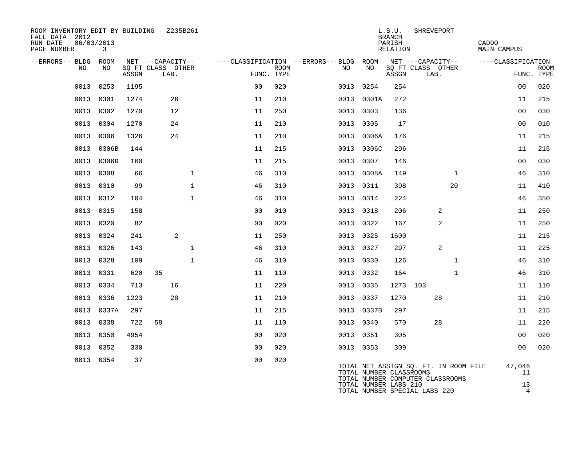| ROOM INVENTORY EDIT BY BUILDING - Z235B261<br>FALL DATA 2012<br>RUN DATE<br>PAGE NUMBER | 06/03/2013 | 3     |       |                                               |              |                                                      |             |      |                         | <b>BRANCH</b><br>PARISH<br>RELATION | L.S.U. - SHREVEPORT                                                              |              | CADDO<br><b>MAIN CAMPUS</b> |                           |
|-----------------------------------------------------------------------------------------|------------|-------|-------|-----------------------------------------------|--------------|------------------------------------------------------|-------------|------|-------------------------|-------------------------------------|----------------------------------------------------------------------------------|--------------|-----------------------------|---------------------------|
| --ERRORS-- BLDG ROOM                                                                    | NO         | NO.   | ASSGN | NET --CAPACITY--<br>SQ FT CLASS OTHER<br>LAB. |              | ---CLASSIFICATION --ERRORS-- BLDG ROOM<br>FUNC. TYPE | <b>ROOM</b> | NO   | NO                      | ASSGN                               | NET --CAPACITY--<br>SQ FT CLASS OTHER<br>LAB.                                    |              | ---CLASSIFICATION           | <b>ROOM</b><br>FUNC. TYPE |
|                                                                                         | 0013       | 0253  | 1195  |                                               |              | 0 <sub>0</sub>                                       | 020         | 0013 | 0254                    | 254                                 |                                                                                  |              | 0 <sub>0</sub>              | 020                       |
|                                                                                         | 0013 0301  |       | 1274  | 28                                            |              | 11                                                   | 210         |      | 0013 0301A              | 272                                 |                                                                                  |              | 11                          | 215                       |
|                                                                                         | 0013       | 0302  | 1270  | 12                                            |              | 11                                                   | 250         | 0013 | 0303                    | 136                                 |                                                                                  |              | 00                          | 030                       |
|                                                                                         | 0013       | 0304  | 1270  | 24                                            |              | 11                                                   | 210         | 0013 | 0305                    | 17                                  |                                                                                  |              | 0 <sub>0</sub>              | 010                       |
|                                                                                         | 0013       | 0306  | 1326  | 24                                            |              | 11                                                   | 210         |      | 0013 0306A              | 176                                 |                                                                                  |              | 11                          | 215                       |
|                                                                                         | 0013       | 0306B | 144   |                                               |              | 11                                                   | 215         |      | 0013 0306C              | 296                                 |                                                                                  |              | 11                          | 215                       |
|                                                                                         | 0013       | 0306D | 160   |                                               |              | 11                                                   | 215         | 0013 | 0307                    | 146                                 |                                                                                  |              | 0 <sub>0</sub>              | 030                       |
|                                                                                         | 0013 0308  |       | 66    |                                               | $\mathbf 1$  | 46                                                   | 310         |      | 0013 0308A              | 149                                 |                                                                                  | $\mathbf{1}$ | 46                          | 310                       |
|                                                                                         | 0013       | 0310  | 99    |                                               | $\mathbf{1}$ | 46                                                   | 310         |      | 0013 0311               | 398                                 |                                                                                  | 20           | 11                          | 410                       |
|                                                                                         | 0013 0312  |       | 104   |                                               | $\mathbf{1}$ | 46                                                   | 310         |      | 0013 0314               | 224                                 |                                                                                  |              | 46                          | 350                       |
|                                                                                         | 0013 0315  |       | 158   |                                               |              | 0 <sub>0</sub>                                       | 010         |      | 0013 0318               | 206                                 | 2                                                                                |              | 11                          | 250                       |
|                                                                                         | 0013       | 0320  | 82    |                                               |              | 0 <sub>0</sub>                                       | 020         |      | 0013 0322               | 167                                 | 2                                                                                |              | 11                          | 250                       |
|                                                                                         | 0013 0324  |       | 241   | 2                                             |              | 11                                                   | 250         |      | 0013 0325               | 1600                                |                                                                                  |              | 11                          | 215                       |
|                                                                                         | 0013       | 0326  | 143   |                                               | $\mathbf{1}$ | 46                                                   | 310         |      | 0013 0327               | 297                                 | 2                                                                                |              | 11                          | 225                       |
|                                                                                         | 0013       | 0328  | 109   |                                               | $\mathbf{1}$ | 46                                                   | 310         | 0013 | 0330                    | 126                                 |                                                                                  | $\mathbf{1}$ | 46                          | 310                       |
|                                                                                         | 0013       | 0331  | 620   | 35                                            |              | 11                                                   | 110         |      | 0013 0332               | 164                                 |                                                                                  | $\mathbf{1}$ | 46                          | 310                       |
|                                                                                         | 0013       | 0334  | 713   | 16                                            |              | 11                                                   | 220         |      | 0013 0335               | 1273 103                            |                                                                                  |              | 11                          | 110                       |
|                                                                                         | 0013       | 0336  | 1223  | 28                                            |              | 11                                                   | 210         |      | 0013 0337               | 1270                                | 28                                                                               |              | 11                          | 210                       |
|                                                                                         | 0013       | 0337A | 297   |                                               |              | 11                                                   | 215         |      | 0013 0337B              | 297                                 |                                                                                  |              | 11                          | 215                       |
|                                                                                         | 0013       | 0338  | 722   | 58                                            |              | 11                                                   | 110         |      | 0013 0340               | 570                                 | 28                                                                               |              | 11                          | 220                       |
|                                                                                         | 0013       | 0350  | 4954  |                                               |              | 0 <sub>0</sub>                                       | 020         | 0013 | 0351                    | 305                                 |                                                                                  |              | 0 <sub>0</sub>              | 020                       |
|                                                                                         | 0013       | 0352  | 330   |                                               |              | 0 <sub>0</sub>                                       | 020         |      | 0013 0353               | 309                                 |                                                                                  |              | 00                          | 020                       |
|                                                                                         | 0013 0354  |       | 37    |                                               |              | 0 <sub>0</sub>                                       | 020         |      | TOTAL NUMBER CLASSROOMS |                                     | TOTAL NET ASSIGN SO. FT. IN ROOM FILE<br><b>MORAI NUMBER COMPUTER OILORDOOMO</b> |              | 47,046<br>11                |                           |

|  | TOTAL NUMBER CLASSROOMS          |    |
|--|----------------------------------|----|
|  | TOTAL NUMBER COMPUTER CLASSROOMS |    |
|  | TOTAL NUMBER LABS 210            | 13 |
|  | TOTAL NUMBER SPECIAL LABS 220    |    |
|  |                                  |    |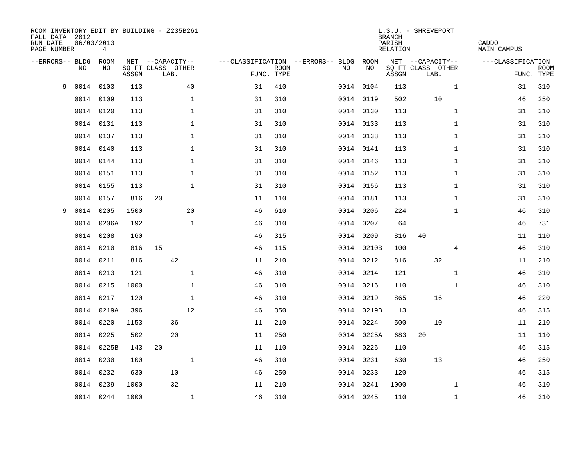| ROOM INVENTORY EDIT BY BUILDING - Z235B261<br>FALL DATA 2012<br>RUN DATE<br>PAGE NUMBER | 06/03/2013 | 4          |       |                           |              |    |                           |                                   |            | <b>BRANCH</b><br>PARISH<br>RELATION | L.S.U. - SHREVEPORT       | CADDO<br><b>MAIN CAMPUS</b> |                           |  |
|-----------------------------------------------------------------------------------------|------------|------------|-------|---------------------------|--------------|----|---------------------------|-----------------------------------|------------|-------------------------------------|---------------------------|-----------------------------|---------------------------|--|
| --ERRORS-- BLDG                                                                         |            | ROOM       |       | NET --CAPACITY--          |              |    |                           | ---CLASSIFICATION --ERRORS-- BLDG | ROOM       |                                     | NET --CAPACITY--          | ---CLASSIFICATION           |                           |  |
|                                                                                         | NO         | NO         | ASSGN | SQ FT CLASS OTHER<br>LAB. |              |    | <b>ROOM</b><br>FUNC. TYPE | NO                                | NO         | ASSGN                               | SQ FT CLASS OTHER<br>LAB. |                             | <b>ROOM</b><br>FUNC. TYPE |  |
| 9                                                                                       | 0014       | 0103       | 113   |                           | 40           | 31 | 410                       |                                   | 0014 0104  | 113                                 | $\mathbf{1}$              |                             | 310<br>31                 |  |
|                                                                                         | 0014       | 0109       | 113   |                           | $\mathbf{1}$ | 31 | 310                       |                                   | 0014 0119  | 502                                 | 10                        |                             | 250<br>46                 |  |
|                                                                                         | 0014       | 0120       | 113   |                           | $\mathbf 1$  | 31 | 310                       |                                   | 0014 0130  | 113                                 | $\mathbf{1}$              |                             | 310<br>31                 |  |
|                                                                                         | 0014 0131  |            | 113   |                           | $\mathbf 1$  | 31 | 310                       |                                   | 0014 0133  | 113                                 | $\mathbf{1}$              |                             | 310<br>31                 |  |
|                                                                                         | 0014 0137  |            | 113   |                           | $\mathbf 1$  | 31 | 310                       |                                   | 0014 0138  | 113                                 | $\mathbf{1}$              |                             | 310<br>31                 |  |
|                                                                                         | 0014 0140  |            | 113   |                           | $\mathbf 1$  | 31 | 310                       |                                   | 0014 0141  | 113                                 | $\mathbf{1}$              |                             | 310<br>31                 |  |
|                                                                                         | 0014 0144  |            | 113   |                           | $\mathbf{1}$ | 31 | 310                       |                                   | 0014 0146  | 113                                 | $\mathbf{1}$              |                             | 31<br>310                 |  |
|                                                                                         | 0014 0151  |            | 113   |                           | $\mathbf 1$  | 31 | 310                       |                                   | 0014 0152  | 113                                 | $\mathbf{1}$              |                             | 31<br>310                 |  |
|                                                                                         | 0014       | 0155       | 113   |                           | $\mathbf{1}$ | 31 | 310                       |                                   | 0014 0156  | 113                                 | $\mathbf{1}$              |                             | 31<br>310                 |  |
|                                                                                         | 0014 0157  |            | 816   | 20                        |              | 11 | 110                       |                                   | 0014 0181  | 113                                 | $\mathbf{1}$              |                             | 31<br>310                 |  |
| 9                                                                                       | 0014       | 0205       | 1500  |                           | 20           | 46 | 610                       |                                   | 0014 0206  | 224                                 | $\mathbf{1}$              |                             | 46<br>310                 |  |
|                                                                                         | 0014       | 0206A      | 192   |                           | $\mathbf{1}$ | 46 | 310                       |                                   | 0014 0207  | 64                                  |                           |                             | 46<br>731                 |  |
|                                                                                         | 0014       | 0208       | 160   |                           |              | 46 | 315                       |                                   | 0014 0209  | 816                                 | 40                        |                             | 11<br>110                 |  |
|                                                                                         | 0014       | 0210       | 816   | 15                        |              | 46 | 115                       |                                   | 0014 0210B | 100                                 | 4                         |                             | 310<br>46                 |  |
|                                                                                         | 0014       | 0211       | 816   | 42                        |              | 11 | 210                       |                                   | 0014 0212  | 816                                 | 32                        |                             | 11<br>210                 |  |
|                                                                                         | 0014       | 0213       | 121   |                           | $\mathbf{1}$ | 46 | 310                       |                                   | 0014 0214  | 121                                 | $\mathbf{1}$              |                             | 310<br>46                 |  |
|                                                                                         | 0014       | 0215       | 1000  |                           | $\mathbf{1}$ | 46 | 310                       |                                   | 0014 0216  | 110                                 | $\mathbf{1}$              |                             | 310<br>46                 |  |
|                                                                                         | 0014       | 0217       | 120   |                           | $\mathbf 1$  | 46 | 310                       |                                   | 0014 0219  | 865                                 | 16                        |                             | 220<br>46                 |  |
|                                                                                         |            | 0014 0219A | 396   |                           | 12           | 46 | 350                       |                                   | 0014 0219B | 13                                  |                           |                             | 46<br>315                 |  |
|                                                                                         | 0014       | 0220       | 1153  | 36                        |              | 11 | 210                       |                                   | 0014 0224  | 500                                 | 10                        |                             | 11<br>210                 |  |
|                                                                                         | 0014       | 0225       | 502   | 20                        |              | 11 | 250                       |                                   | 0014 0225A | 683                                 | 20                        |                             | 11<br>110                 |  |
|                                                                                         |            | 0014 0225B | 143   | 20                        |              | 11 | 110                       |                                   | 0014 0226  | 110                                 |                           |                             | 315<br>46                 |  |
|                                                                                         | 0014       | 0230       | 100   |                           | $\mathbf{1}$ | 46 | 310                       |                                   | 0014 0231  | 630                                 | 13                        |                             | 250<br>46                 |  |
|                                                                                         | 0014       | 0232       | 630   | 10                        |              | 46 | 250                       |                                   | 0014 0233  | 120                                 |                           |                             | 46<br>315                 |  |
|                                                                                         | 0014       | 0239       | 1000  | 32                        |              | 11 | 210                       |                                   | 0014 0241  | 1000                                | $\mathbf{1}$              |                             | 310<br>46                 |  |
|                                                                                         | 0014 0244  |            | 1000  |                           | $\mathbf{1}$ | 46 | 310                       |                                   | 0014 0245  | 110                                 | $\mathbf{1}$              |                             | 46<br>310                 |  |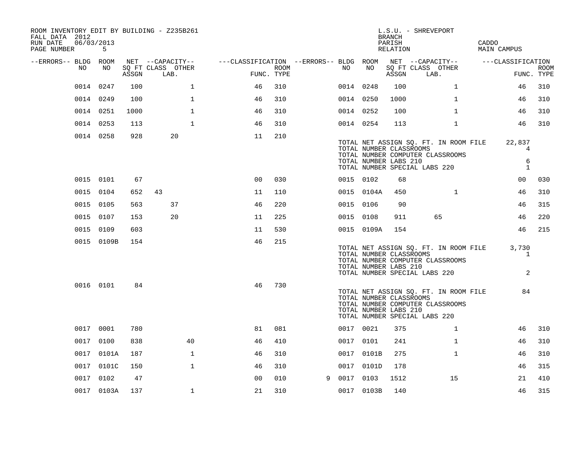| ROOM INVENTORY EDIT BY BUILDING - Z235B261<br>FALL DATA 2012<br>06/03/2013<br>RUN DATE<br>PAGE NUMBER | 5          |       |                           |                                        |      |   |           |                                                  | BRANCH<br>PARISH<br>RELATION | L.S.U. - SHREVEPORT                                                                                        | CADDO<br>MAIN CAMPUS             |                           |
|-------------------------------------------------------------------------------------------------------|------------|-------|---------------------------|----------------------------------------|------|---|-----------|--------------------------------------------------|------------------------------|------------------------------------------------------------------------------------------------------------|----------------------------------|---------------------------|
| --ERRORS-- BLDG ROOM                                                                                  |            |       | NET --CAPACITY--          | ---CLASSIFICATION --ERRORS-- BLDG ROOM |      |   |           |                                                  |                              | NET --CAPACITY--                                                                                           | ---CLASSIFICATION                |                           |
| NO                                                                                                    | NO         | ASSGN | SO FT CLASS OTHER<br>LAB. | FUNC. TYPE                             | ROOM |   | NO .      | NO                                               | ASSGN                        | SQ FT CLASS OTHER<br>LAB.                                                                                  |                                  | <b>ROOM</b><br>FUNC. TYPE |
|                                                                                                       | 0014 0247  | 100   | $\mathbf{1}$              | 46                                     | 310  |   | 0014 0248 |                                                  | 100                          | $\mathbf{1}$                                                                                               | 46                               | 310                       |
|                                                                                                       | 0014 0249  | 100   | $\mathbf{1}$              | 46                                     | 310  |   | 0014 0250 |                                                  | 1000                         | $\mathbf{1}$                                                                                               | 46                               | 310                       |
|                                                                                                       | 0014 0251  | 1000  | $\mathbf{1}$              | 46                                     | 310  |   | 0014 0252 |                                                  | 100                          | $\mathbf{1}$                                                                                               | 46                               | 310                       |
|                                                                                                       | 0014 0253  | 113   | $\mathbf{1}$              | 46                                     | 310  |   | 0014 0254 |                                                  | 113                          | $\mathbf{1}$                                                                                               | 46                               | 310                       |
|                                                                                                       | 0014 0258  | 928   | 20                        | 11                                     | 210  |   |           | TOTAL NUMBER CLASSROOMS<br>TOTAL NUMBER LABS 210 |                              | TOTAL NET ASSIGN SQ. FT. IN ROOM FILE<br>TOTAL NUMBER COMPUTER CLASSROOMS<br>TOTAL NUMBER SPECIAL LABS 220 | 22,837<br>4<br>6<br>$\mathbf{1}$ |                           |
|                                                                                                       | 0015 0101  | 67    |                           | 0 <sub>0</sub>                         | 030  |   | 0015 0102 |                                                  | 68                           |                                                                                                            | 00                               | 030                       |
|                                                                                                       | 0015 0104  | 652   | 43                        | 11                                     | 110  |   |           | 0015 0104A                                       | 450                          | $\mathbf{1}$                                                                                               | 46                               | 310                       |
|                                                                                                       | 0015 0105  | 563   | 37                        | 46                                     | 220  |   | 0015 0106 |                                                  | 90                           |                                                                                                            | 46                               | 315                       |
|                                                                                                       | 0015 0107  | 153   | 20                        | 11                                     | 225  |   | 0015 0108 |                                                  | 911                          | 65                                                                                                         | 46                               | 220                       |
|                                                                                                       | 0015 0109  | 603   |                           | 11                                     | 530  |   |           | 0015 0109A                                       | 154                          |                                                                                                            | 46                               | 215                       |
|                                                                                                       | 0015 0109B | 154   |                           | 46                                     | 215  |   |           | TOTAL NUMBER CLASSROOMS<br>TOTAL NUMBER LABS 210 |                              | TOTAL NET ASSIGN SQ. FT. IN ROOM FILE<br>TOTAL NUMBER COMPUTER CLASSROOMS<br>TOTAL NUMBER SPECIAL LABS 220 | 3,730<br>1<br>$\overline{2}$     |                           |
|                                                                                                       | 0016 0101  | 84    |                           | 46                                     | 730  |   |           | TOTAL NUMBER CLASSROOMS<br>TOTAL NUMBER LABS 210 |                              | TOTAL NET ASSIGN SQ. FT. IN ROOM FILE<br>TOTAL NUMBER COMPUTER CLASSROOMS<br>TOTAL NUMBER SPECIAL LABS 220 | 84                               |                           |
|                                                                                                       | 0017 0001  | 780   |                           | 81                                     | 081  |   | 0017 0021 |                                                  | 375                          | $\mathbf{1}$                                                                                               | 46                               | 310                       |
|                                                                                                       | 0017 0100  | 838   | 40                        | 46                                     | 410  |   | 0017 0101 |                                                  | 241                          | $\mathbf{1}$                                                                                               | 46                               | 310                       |
|                                                                                                       | 0017 0101A | 187   | $\mathbf{1}$              | 46                                     | 310  |   |           | 0017 0101B                                       | 275                          | $\mathbf{1}$                                                                                               | 46                               | 310                       |
|                                                                                                       | 0017 0101C | 150   | $\mathbf{1}$              | 46                                     | 310  |   |           | 0017 0101D                                       | 178                          |                                                                                                            | 46                               | 315                       |
|                                                                                                       | 0017 0102  | 47    |                           | 0 <sub>0</sub>                         | 010  | 9 | 0017 0103 |                                                  | 1512                         | 15                                                                                                         | 21                               | 410                       |
|                                                                                                       | 0017 0103A | 137   | $\mathbf{1}$              | 21                                     | 310  |   |           | 0017 0103B                                       | 140                          |                                                                                                            | 46                               | 315                       |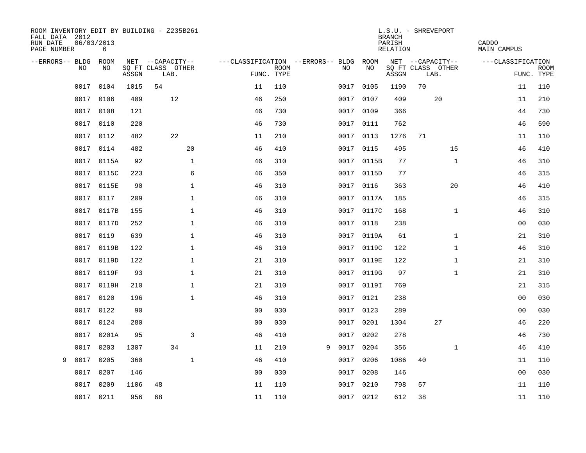| ROOM INVENTORY EDIT BY BUILDING - Z235B261<br>FALL DATA 2012<br>RUN DATE<br>PAGE NUMBER | 06/03/2013<br>6 |       |                           |                |             |                                   |            | <b>BRANCH</b><br>PARISH<br><b>RELATION</b> | L.S.U. - SHREVEPORT       | CADDO<br>MAIN CAMPUS      |
|-----------------------------------------------------------------------------------------|-----------------|-------|---------------------------|----------------|-------------|-----------------------------------|------------|--------------------------------------------|---------------------------|---------------------------|
| --ERRORS-- BLDG                                                                         | ROOM            |       | NET --CAPACITY--          |                |             | ---CLASSIFICATION --ERRORS-- BLDG | ROOM       |                                            | NET --CAPACITY--          | ---CLASSIFICATION         |
| NO.                                                                                     | NO.             | ASSGN | SQ FT CLASS OTHER<br>LAB. | FUNC. TYPE     | <b>ROOM</b> | NO.                               | NO         | ASSGN                                      | SQ FT CLASS OTHER<br>LAB. | <b>ROOM</b><br>FUNC. TYPE |
| 0017                                                                                    | 0104            | 1015  | 54                        | 11             | 110         | 0017                              | 0105       | 1190                                       | 70                        | 11<br>110                 |
| 0017                                                                                    | 0106            | 409   | 12                        | 46             | 250         | 0017                              | 0107       | 409                                        | 20                        | 210<br>11                 |
| 0017                                                                                    | 0108            | 121   |                           | 46             | 730         | 0017                              | 0109       | 366                                        |                           | 730<br>44                 |
| 0017                                                                                    | 0110            | 220   |                           | 46             | 730         |                                   | 0017 0111  | 762                                        |                           | 590<br>46                 |
| 0017                                                                                    | 0112            | 482   | 22                        | 11             | 210         | 0017                              | 0113       | 1276                                       | 71                        | 110<br>11                 |
| 0017                                                                                    | 0114            | 482   | 20                        | 46             | 410         |                                   | 0017 0115  | 495                                        |                           | 15<br>410<br>46           |
| 0017                                                                                    | 0115A           | 92    | $\mathbf 1$               | 46             | 310         |                                   | 0017 0115B | 77                                         |                           | $\mathbf{1}$<br>310<br>46 |
| 0017                                                                                    | 0115C           | 223   | 6                         | 46             | 350         |                                   | 0017 0115D | 77                                         |                           | 46<br>315                 |
| 0017                                                                                    | 0115E           | 90    | $\mathbf{1}$              | 46             | 310         | 0017                              | 0116       | 363                                        |                           | 20<br>410<br>46           |
| 0017                                                                                    | 0117            | 209   | $\mathbf 1$               | 46             | 310         |                                   | 0017 0117A | 185                                        |                           | 315<br>46                 |
| 0017                                                                                    | 0117B           | 155   | $\mathbf{1}$              | 46             | 310         | 0017                              | 0117C      | 168                                        |                           | 310<br>$\mathbf{1}$<br>46 |
| 0017                                                                                    | 0117D           | 252   | $\mathbf{1}$              | 46             | 310         |                                   | 0017 0118  | 238                                        |                           | 030<br>00                 |
| 0017                                                                                    | 0119            | 639   | $\mathbf{1}$              | 46             | 310         | 0017                              | 0119A      | 61                                         |                           | $\mathbf{1}$<br>21<br>310 |
| 0017                                                                                    | 0119B           | 122   | $\mathbf 1$               | 46             | 310         |                                   | 0017 0119C | 122                                        |                           | 310<br>$\mathbf{1}$<br>46 |
| 0017                                                                                    | 0119D           | 122   | $\mathbf{1}$              | 21             | 310         | 0017                              | 0119E      | 122                                        |                           | $\mathbf{1}$<br>21<br>310 |
| 0017                                                                                    | 0119F           | 93    | $\mathbf{1}$              | 21             | 310         |                                   | 0017 0119G | 97                                         |                           | $\mathbf{1}$<br>21<br>310 |
| 0017                                                                                    | 0119H           | 210   | $\mathbf 1$               | 21             | 310         | 0017                              | 0119I      | 769                                        |                           | 315<br>21                 |
| 0017                                                                                    | 0120            | 196   | $\mathbf{1}$              | 46             | 310         |                                   | 0017 0121  | 238                                        |                           | 030<br>00                 |
| 0017                                                                                    | 0122            | 90    |                           | 0 <sub>0</sub> | 030         | 0017                              | 0123       | 289                                        |                           | 030<br>00                 |
| 0017                                                                                    | 0124            | 280   |                           | 0 <sub>0</sub> | 030         | 0017                              | 0201       | 1304                                       | 27                        | 220<br>46                 |
| 0017                                                                                    | 0201A           | 95    | 3                         | 46             | 410         | 0017                              | 0202       | 278                                        |                           | 730<br>46                 |
| 0017                                                                                    | 0203            | 1307  | 34                        | 11             | 210         | 0017<br>9                         | 0204       | 356                                        |                           | 410<br>$\mathbf{1}$<br>46 |
| 0017<br>9                                                                               | 0205            | 360   | $\mathbf{1}$              | 46             | 410         | 0017                              | 0206       | 1086                                       | 40                        | 11<br>110                 |
| 0017                                                                                    | 0207            | 146   |                           | 0 <sub>0</sub> | 030         | 0017                              | 0208       | 146                                        |                           | 030<br>0 <sub>0</sub>     |
| 0017                                                                                    | 0209            | 1106  | 48                        | 11             | 110         | 0017                              | 0210       | 798                                        | 57                        | 11<br>110                 |
|                                                                                         | 0017 0211       | 956   | 68                        | 11             | 110         |                                   | 0017 0212  | 612                                        | 38                        | 11<br>110                 |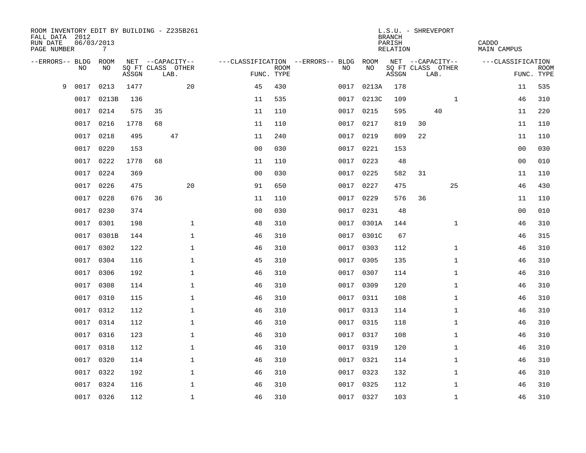| ROOM INVENTORY EDIT BY BUILDING - Z235B261<br>FALL DATA 2012<br>RUN DATE<br>PAGE NUMBER | 06/03/2013 | 7     |       |    |                                       |                                        |             |           |            | <b>BRANCH</b><br>PARISH<br>RELATION | L.S.U. - SHREVEPORT |                  | CADDO<br><b>MAIN CAMPUS</b> |                |             |
|-----------------------------------------------------------------------------------------|------------|-------|-------|----|---------------------------------------|----------------------------------------|-------------|-----------|------------|-------------------------------------|---------------------|------------------|-----------------------------|----------------|-------------|
| --ERRORS-- BLDG ROOM                                                                    | NO         | NO    |       |    | NET --CAPACITY--<br>SQ FT CLASS OTHER | ---CLASSIFICATION --ERRORS-- BLDG ROOM | <b>ROOM</b> | NO        | NO         |                                     | SQ FT CLASS OTHER   | NET --CAPACITY-- | ---CLASSIFICATION           |                | <b>ROOM</b> |
|                                                                                         |            |       | ASSGN |    | LAB.                                  | FUNC. TYPE                             |             |           |            | ASSGN                               | LAB.                |                  |                             | FUNC. TYPE     |             |
| 9                                                                                       | 0017       | 0213  | 1477  |    | 20                                    | 45                                     | 430         | 0017      | 0213A      | 178                                 |                     |                  |                             | 11             | 535         |
|                                                                                         | 0017       | 0213B | 136   |    |                                       | 11                                     | 535         |           | 0017 0213C | 109                                 |                     | $\mathbf{1}$     |                             | 46             | 310         |
|                                                                                         | 0017       | 0214  | 575   | 35 |                                       | 11                                     | 110         | 0017      | 0215       | 595                                 |                     | 40               |                             | 11             | 220         |
|                                                                                         | 0017       | 0216  | 1778  | 68 |                                       | 11                                     | 110         | 0017 0217 |            | 819                                 | 30                  |                  |                             | 11             | 110         |
|                                                                                         | 0017       | 0218  | 495   |    | 47                                    | 11                                     | 240         | 0017      | 0219       | 809                                 | 22                  |                  |                             | 11             | 110         |
|                                                                                         | 0017       | 0220  | 153   |    |                                       | 0 <sub>0</sub>                         | 030         | 0017 0221 |            | 153                                 |                     |                  |                             | 00             | 030         |
|                                                                                         | 0017       | 0222  | 1778  | 68 |                                       | 11                                     | 110         | 0017      | 0223       | 48                                  |                     |                  |                             | 0 <sub>0</sub> | 010         |
|                                                                                         | 0017       | 0224  | 369   |    |                                       | 0 <sub>0</sub>                         | 030         | 0017 0225 |            | 582                                 | 31                  |                  |                             | 11             | 110         |
|                                                                                         | 0017       | 0226  | 475   |    | 20                                    | 91                                     | 650         | 0017      | 0227       | 475                                 |                     | 25               |                             | 46             | 430         |
|                                                                                         | 0017 0228  |       | 676   | 36 |                                       | 11                                     | 110         | 0017 0229 |            | 576                                 | 36                  |                  |                             | 11             | 110         |
|                                                                                         | 0017       | 0230  | 374   |    |                                       | 0 <sub>0</sub>                         | 030         | 0017      | 0231       | 48                                  |                     |                  |                             | 00             | 010         |
|                                                                                         | 0017       | 0301  | 198   |    | $\mathbf 1$                           | 48                                     | 310         |           | 0017 0301A | 144                                 |                     | $\mathbf{1}$     |                             | 46             | 310         |
|                                                                                         | 0017       | 0301B | 144   |    | $\mathbf{1}$                          | 46                                     | 310         | 0017      | 0301C      | 67                                  |                     |                  |                             | 46             | 315         |
|                                                                                         | 0017       | 0302  | 122   |    | $\mathbf 1$                           | 46                                     | 310         | 0017 0303 |            | 112                                 |                     | $\mathbf{1}$     |                             | 46             | 310         |
|                                                                                         | 0017       | 0304  | 116   |    | $\mathbf{1}$                          | 45                                     | 310         | 0017      | 0305       | 135                                 |                     | $\mathbf{1}$     |                             | 46             | 310         |
|                                                                                         | 0017       | 0306  | 192   |    | $\mathbf 1$                           | 46                                     | 310         | 0017 0307 |            | 114                                 |                     | $\mathbf{1}$     |                             | 46             | 310         |
|                                                                                         | 0017       | 0308  | 114   |    | $\mathbf 1$                           | 46                                     | 310         | 0017      | 0309       | 120                                 |                     | $\mathbf{1}$     |                             | 46             | 310         |
|                                                                                         | 0017       | 0310  | 115   |    | $\mathbf{1}$                          | 46                                     | 310         | 0017 0311 |            | 108                                 |                     | $\mathbf{1}$     |                             | 46             | 310         |
|                                                                                         | 0017       | 0312  | 112   |    | $\mathbf 1$                           | 46                                     | 310         | 0017 0313 |            | 114                                 |                     | $\mathbf{1}$     |                             | 46             | 310         |
|                                                                                         | 0017       | 0314  | 112   |    | $\mathbf{1}$                          | 46                                     | 310         | 0017 0315 |            | 118                                 |                     | $\mathbf{1}$     |                             | 46             | 310         |
|                                                                                         | 0017       | 0316  | 123   |    | $\mathbf 1$                           | 46                                     | 310         | 0017 0317 |            | 108                                 |                     | $\mathbf{1}$     |                             | 46             | 310         |
|                                                                                         | 0017       | 0318  | 112   |    | $\mathbf{1}$                          | 46                                     | 310         | 0017      | 0319       | 120                                 |                     | $\mathbf{1}$     |                             | 46             | 310         |
|                                                                                         | 0017       | 0320  | 114   |    | $\mathbf{1}$                          | 46                                     | 310         | 0017 0321 |            | 114                                 |                     | $\mathbf{1}$     |                             | 46             | 310         |
|                                                                                         | 0017       | 0322  | 192   |    | $\mathbf{1}$                          | 46                                     | 310         | 0017      | 0323       | 132                                 |                     | $\mathbf{1}$     |                             | 46             | 310         |
|                                                                                         | 0017       | 0324  | 116   |    | $\mathbf{1}$                          | 46                                     | 310         | 0017 0325 |            | 112                                 |                     | $\mathbf{1}$     |                             | 46             | 310         |
|                                                                                         | 0017 0326  |       | 112   |    | $\mathbf{1}$                          | 46                                     | 310         | 0017 0327 |            | 103                                 |                     | $\mathbf{1}$     |                             | 46             | 310         |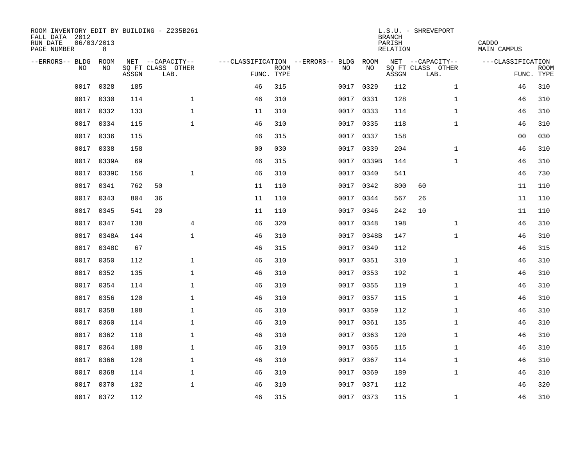| ROOM INVENTORY EDIT BY BUILDING - Z235B261<br>FALL DATA 2012<br>RUN DATE<br>PAGE NUMBER | 06/03/2013<br>8 |       |                           |                |                           |                                   |            | <b>BRANCH</b><br>PARISH<br>RELATION | L.S.U. - SHREVEPORT       | CADDO<br><b>MAIN CAMPUS</b> |                           |
|-----------------------------------------------------------------------------------------|-----------------|-------|---------------------------|----------------|---------------------------|-----------------------------------|------------|-------------------------------------|---------------------------|-----------------------------|---------------------------|
| --ERRORS-- BLDG                                                                         | ROOM            |       | NET --CAPACITY--          |                |                           | ---CLASSIFICATION --ERRORS-- BLDG | ROOM       |                                     | NET --CAPACITY--          | ---CLASSIFICATION           |                           |
| N <sub>O</sub>                                                                          | NO.             | ASSGN | SO FT CLASS OTHER<br>LAB. |                | <b>ROOM</b><br>FUNC. TYPE | NO.                               | NO         | ASSGN                               | SQ FT CLASS OTHER<br>LAB. |                             | <b>ROOM</b><br>FUNC. TYPE |
| 0017                                                                                    | 0328            | 185   |                           | 46             | 315                       | 0017                              | 0329       | 112                                 | $\mathbf{1}$              | 46                          | 310                       |
| 0017                                                                                    | 0330            | 114   | $\mathbf{1}$              | 46             | 310                       |                                   | 0017 0331  | 128                                 | $\mathbf{1}$              | 46                          | 310                       |
| 0017                                                                                    | 0332            | 133   | $\mathbf{1}$              | 11             | 310                       | 0017                              | 0333       | 114                                 | $\mathbf{1}$              | 46                          | 310                       |
| 0017                                                                                    | 0334            | 115   | $\mathbf{1}$              | 46             | 310                       |                                   | 0017 0335  | 118                                 | $\mathbf{1}$              | 46                          | 310                       |
| 0017                                                                                    | 0336            | 115   |                           | 46             | 315                       | 0017                              | 0337       | 158                                 |                           | 00                          | 030                       |
| 0017                                                                                    | 0338            | 158   |                           | 0 <sub>0</sub> | 030                       |                                   | 0017 0339  | 204                                 | $\mathbf{1}$              | 46                          | 310                       |
| 0017                                                                                    | 0339A           | 69    |                           | 46             | 315                       |                                   | 0017 0339B | 144                                 | $\mathbf{1}$              | 46                          | 310                       |
| 0017                                                                                    | 0339C           | 156   | $\mathbf{1}$              | 46             | 310                       |                                   | 0017 0340  | 541                                 |                           | 46                          | 730                       |
| 0017                                                                                    | 0341            | 762   | 50                        | 11             | 110                       | 0017                              | 0342       | 800                                 | 60                        | 11                          | 110                       |
| 0017                                                                                    | 0343            | 804   | 36                        | 11             | 110                       |                                   | 0017 0344  | 567                                 | 26                        | 11                          | 110                       |
| 0017                                                                                    | 0345            | 541   | 20                        | 11             | 110                       | 0017                              | 0346       | 242                                 | 10                        | 11                          | 110                       |
| 0017                                                                                    | 0347            | 138   | 4                         | 46             | 320                       |                                   | 0017 0348  | 198                                 | $\mathbf{1}$              | 46                          | 310                       |
| 0017                                                                                    | 0348A           | 144   | $\mathbf{1}$              | 46             | 310                       | 0017                              | 0348B      | 147                                 | $\mathbf{1}$              | 46                          | 310                       |
| 0017                                                                                    | 0348C           | 67    |                           | 46             | 315                       |                                   | 0017 0349  | 112                                 |                           | 46                          | 315                       |
| 0017                                                                                    | 0350            | 112   | 1                         | 46             | 310                       | 0017                              | 0351       | 310                                 | $\mathbf{1}$              | 46                          | 310                       |
| 0017                                                                                    | 0352            | 135   | $\mathbf 1$               | 46             | 310                       |                                   | 0017 0353  | 192                                 | $\mathbf{1}$              | 46                          | 310                       |
| 0017                                                                                    | 0354            | 114   | $\mathbf 1$               | 46             | 310                       | 0017                              | 0355       | 119                                 | $\mathbf{1}$              | 46                          | 310                       |
| 0017                                                                                    | 0356            | 120   | $\mathbf{1}$              | 46             | 310                       |                                   | 0017 0357  | 115                                 | $\mathbf{1}$              | 46                          | 310                       |
| 0017                                                                                    | 0358            | 108   | $\mathbf{1}$              | 46             | 310                       |                                   | 0017 0359  | 112                                 | $\mathbf{1}$              | 46                          | 310                       |
| 0017                                                                                    | 0360            | 114   | $\mathbf{1}$              | 46             | 310                       |                                   | 0017 0361  | 135                                 | $\mathbf{1}$              | 46                          | 310                       |
| 0017                                                                                    | 0362            | 118   | $\mathbf 1$               | 46             | 310                       |                                   | 0017 0363  | 120                                 | $\mathbf{1}$              | 46                          | 310                       |
| 0017                                                                                    | 0364            | 108   | $\mathbf 1$               | 46             | 310                       | 0017                              | 0365       | 115                                 | $\mathbf{1}$              | 46                          | 310                       |
| 0017                                                                                    | 0366            | 120   | $\mathbf 1$               | 46             | 310                       |                                   | 0017 0367  | 114                                 | $\mathbf{1}$              | 46                          | 310                       |
| 0017                                                                                    | 0368            | 114   | $\mathbf 1$               | 46             | 310                       | 0017                              | 0369       | 189                                 | $\mathbf{1}$              | 46                          | 310                       |
| 0017                                                                                    | 0370            | 132   | $\mathbf{1}$              | 46             | 310                       |                                   | 0017 0371  | 112                                 |                           | 46                          | 320                       |
|                                                                                         | 0017 0372       | 112   |                           | 46             | 315                       |                                   | 0017 0373  | 115                                 | $\mathbf{1}$              | 46                          | 310                       |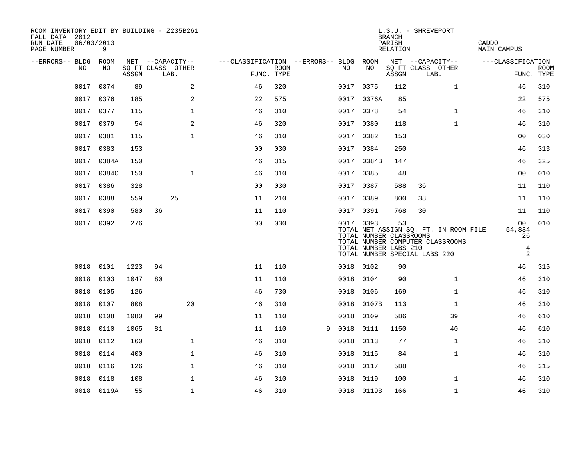| ROOM INVENTORY EDIT BY BUILDING - Z235B261<br>FALL DATA 2012<br>RUN DATE<br>PAGE NUMBER | 06/03/2013 | 9          |       |    |                                               |                                                      |             |   |           |                                                  | <b>BRANCH</b><br>PARISH<br>RELATION | L.S.U. - SHREVEPORT                                                                                        | CADDO<br><b>MAIN CAMPUS</b>               |                           |
|-----------------------------------------------------------------------------------------|------------|------------|-------|----|-----------------------------------------------|------------------------------------------------------|-------------|---|-----------|--------------------------------------------------|-------------------------------------|------------------------------------------------------------------------------------------------------------|-------------------------------------------|---------------------------|
| --ERRORS-- BLDG ROOM                                                                    | NO         | NO         | ASSGN |    | NET --CAPACITY--<br>SQ FT CLASS OTHER<br>LAB. | ---CLASSIFICATION --ERRORS-- BLDG ROOM<br>FUNC. TYPE | <b>ROOM</b> |   | NO        | NO                                               | ASSGN                               | NET --CAPACITY--<br>SQ FT CLASS OTHER<br>LAB.                                                              | ---CLASSIFICATION                         | <b>ROOM</b><br>FUNC. TYPE |
|                                                                                         | 0017       | 0374       | 89    |    | 2                                             | 46                                                   | 320         |   | 0017 0375 |                                                  | 112                                 | $\mathbf{1}$                                                                                               | 46                                        | 310                       |
|                                                                                         | 0017 0376  |            | 185   |    | 2                                             | 22                                                   | 575         |   |           | 0017 0376A                                       | 85                                  |                                                                                                            | 22                                        | 575                       |
|                                                                                         | 0017       | 0377       | 115   |    | 1                                             | 46                                                   | 310         |   | 0017 0378 |                                                  | 54                                  | $\mathbf{1}$                                                                                               | 46                                        | 310                       |
|                                                                                         | 0017       | 0379       | 54    |    | 2                                             | 46                                                   | 320         |   | 0017      | 0380                                             | 118                                 | $\mathbf{1}$                                                                                               | 46                                        | 310                       |
|                                                                                         | 0017       | 0381       | 115   |    | $\mathbf{1}$                                  | 46                                                   | 310         |   | 0017 0382 |                                                  | 153                                 |                                                                                                            | 00                                        | 030                       |
|                                                                                         | 0017       | 0383       | 153   |    |                                               | 00                                                   | 030         |   | 0017 0384 |                                                  | 250                                 |                                                                                                            | 46                                        | 313                       |
|                                                                                         | 0017       | 0384A      | 150   |    |                                               | 46                                                   | 315         |   |           | 0017 0384B                                       | 147                                 |                                                                                                            | 46                                        | 325                       |
|                                                                                         | 0017       | 0384C      | 150   |    | $\mathbf{1}$                                  | 46                                                   | 310         |   | 0017 0385 |                                                  | 48                                  |                                                                                                            | 0 <sub>0</sub>                            | 010                       |
|                                                                                         | 0017       | 0386       | 328   |    |                                               | 0 <sub>0</sub>                                       | 030         |   | 0017 0387 |                                                  | 588                                 | 36                                                                                                         | 11                                        | 110                       |
|                                                                                         | 0017       | 0388       | 559   |    | 25                                            | 11                                                   | 210         |   | 0017 0389 |                                                  | 800                                 | 38                                                                                                         | 11                                        | 110                       |
|                                                                                         | 0017       | 0390       | 580   | 36 |                                               | 11                                                   | 110         |   | 0017 0391 |                                                  | 768                                 | 30                                                                                                         | 11                                        | 110                       |
|                                                                                         | 0017 0392  |            | 276   |    |                                               | 0 <sub>0</sub>                                       | 030         |   | 0017 0393 | TOTAL NUMBER CLASSROOMS<br>TOTAL NUMBER LABS 210 | 53                                  | TOTAL NET ASSIGN SQ. FT. IN ROOM FILE<br>TOTAL NUMBER COMPUTER CLASSROOMS<br>TOTAL NUMBER SPECIAL LABS 220 | 00<br>54,834<br>26<br>$\overline{4}$<br>2 | 010                       |
|                                                                                         | 0018       | 0101       | 1223  | 94 |                                               | 11                                                   | 110         |   | 0018 0102 |                                                  | 90                                  |                                                                                                            | 46                                        | 315                       |
|                                                                                         | 0018       | 0103       | 1047  | 80 |                                               | 11                                                   | 110         |   | 0018 0104 |                                                  | 90                                  | $\mathbf{1}$                                                                                               | 46                                        | 310                       |
|                                                                                         | 0018       | 0105       | 126   |    |                                               | 46                                                   | 730         |   | 0018 0106 |                                                  | 169                                 | $\mathbf{1}$                                                                                               | 46                                        | 310                       |
|                                                                                         | 0018       | 0107       | 808   |    | 20                                            | 46                                                   | 310         |   |           | 0018 0107B                                       | 113                                 | $\mathbf{1}$                                                                                               | 46                                        | 310                       |
|                                                                                         | 0018       | 0108       | 1080  | 99 |                                               | 11                                                   | 110         |   | 0018      | 0109                                             | 586                                 | 39                                                                                                         | 46                                        | 610                       |
|                                                                                         | 0018       | 0110       | 1065  | 81 |                                               | 11                                                   | 110         | 9 | 0018      | 0111                                             | 1150                                | 40                                                                                                         | 46                                        | 610                       |
|                                                                                         | 0018       | 0112       | 160   |    | $\mathbf{1}$                                  | 46                                                   | 310         |   | 0018      | 0113                                             | 77                                  | $\mathbf{1}$                                                                                               | 46                                        | 310                       |
|                                                                                         | 0018       | 0114       | 400   |    | $\mathbf 1$                                   | 46                                                   | 310         |   | 0018 0115 |                                                  | 84                                  | $\mathbf{1}$                                                                                               | 46                                        | 310                       |
|                                                                                         | 0018       | 0116       | 126   |    | $\mathbf 1$                                   | 46                                                   | 310         |   | 0018      | 0117                                             | 588                                 |                                                                                                            | 46                                        | 315                       |
|                                                                                         | 0018       | 0118       | 108   |    | $\mathbf{1}$                                  | 46                                                   | 310         |   | 0018      | 0119                                             | 100                                 | $\mathbf{1}$                                                                                               | 46                                        | 310                       |
|                                                                                         |            | 0018 0119A | 55    |    | $\mathbf 1$                                   | 46                                                   | 310         |   |           | 0018 0119B                                       | 166                                 | $\mathbf{1}$                                                                                               | 46                                        | 310                       |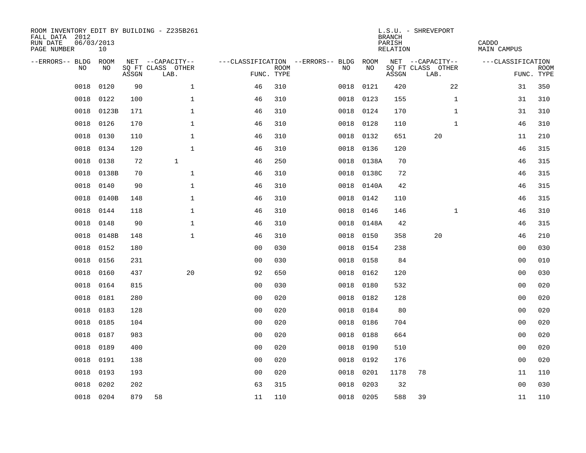| ROOM INVENTORY EDIT BY BUILDING - Z235B261<br>FALL DATA 2012<br>RUN DATE<br>PAGE NUMBER | 06/03/2013<br>10 |       |                           |                                   |             |      |            | <b>BRANCH</b><br>PARISH<br>RELATION | L.S.U. - SHREVEPORT       | CADDO<br><b>MAIN CAMPUS</b> |                           |
|-----------------------------------------------------------------------------------------|------------------|-------|---------------------------|-----------------------------------|-------------|------|------------|-------------------------------------|---------------------------|-----------------------------|---------------------------|
| --ERRORS-- BLDG                                                                         | ROOM             |       | NET --CAPACITY--          | ---CLASSIFICATION --ERRORS-- BLDG |             |      | ROOM       |                                     | NET --CAPACITY--          | ---CLASSIFICATION           |                           |
| N <sub>O</sub>                                                                          | NO.              | ASSGN | SO FT CLASS OTHER<br>LAB. | FUNC. TYPE                        | <b>ROOM</b> | NO.  | <b>NO</b>  | ASSGN                               | SQ FT CLASS OTHER<br>LAB. |                             | <b>ROOM</b><br>FUNC. TYPE |
| 0018                                                                                    | 0120             | 90    | $\mathbf{1}$              | 46                                | 310         | 0018 | 0121       | 420                                 | 22                        | 31                          | 350                       |
| 0018                                                                                    | 0122             | 100   | $\mathbf{1}$              | 46                                | 310         |      | 0018 0123  | 155                                 | $\mathbf{1}$              | 31                          | 310                       |
| 0018                                                                                    | 0123B            | 171   | $\mathbf 1$               | 46                                | 310         | 0018 | 0124       | 170                                 | $\mathbf{1}$              | 31                          | 310                       |
| 0018                                                                                    | 0126             | 170   | $\mathbf{1}$              | 46                                | 310         | 0018 | 0128       | 110                                 | $\mathbf{1}$              | 46                          | 310                       |
| 0018                                                                                    | 0130             | 110   | $\mathbf{1}$              | 46                                | 310         | 0018 | 0132       | 651                                 | 20                        | 11                          | 210                       |
| 0018                                                                                    | 0134             | 120   | $\mathbf{1}$              | 46                                | 310         |      | 0018 0136  | 120                                 |                           | 46                          | 315                       |
| 0018                                                                                    | 0138             | 72    | $\mathbf{1}$              | 46                                | 250         |      | 0018 0138A | 70                                  |                           | 46                          | 315                       |
| 0018                                                                                    | 0138B            | 70    | $\mathbf{1}$              | 46                                | 310         |      | 0018 0138C | 72                                  |                           | 46                          | 315                       |
| 0018                                                                                    | 0140             | 90    | $\mathbf{1}$              | 46                                | 310         | 0018 | 0140A      | 42                                  |                           | 46                          | 315                       |
| 0018                                                                                    | 0140B            | 148   | $\mathbf{1}$              | 46                                | 310         |      | 0018 0142  | 110                                 |                           | 46                          | 315                       |
| 0018                                                                                    | 0144             | 118   | $\mathbf 1$               | 46                                | 310         | 0018 | 0146       | 146                                 | $\mathbf{1}$              | 46                          | 310                       |
| 0018                                                                                    | 0148             | 90    | $\mathbf{1}$              | 46                                | 310         |      | 0018 0148A | 42                                  |                           | 46                          | 315                       |
| 0018                                                                                    | 0148B            | 148   | $\mathbf{1}$              | 46                                | 310         | 0018 | 0150       | 358                                 | 20                        | 46                          | 210                       |
| 0018                                                                                    | 0152             | 180   |                           | 0 <sub>0</sub>                    | 030         | 0018 | 0154       | 238                                 |                           | 0 <sub>0</sub>              | 030                       |
| 0018                                                                                    | 0156             | 231   |                           | 0 <sub>0</sub>                    | 030         | 0018 | 0158       | 84                                  |                           | 00                          | 010                       |
| 0018                                                                                    | 0160             | 437   | 20                        | 92                                | 650         | 0018 | 0162       | 120                                 |                           | 00                          | 030                       |
| 0018                                                                                    | 0164             | 815   |                           | 0 <sub>0</sub>                    | 030         | 0018 | 0180       | 532                                 |                           | 0 <sub>0</sub>              | 020                       |
| 0018                                                                                    | 0181             | 280   |                           | 0 <sub>0</sub>                    | 020         | 0018 | 0182       | 128                                 |                           | 0 <sub>0</sub>              | 020                       |
| 0018                                                                                    | 0183             | 128   |                           | 0 <sub>0</sub>                    | 020         |      | 0018 0184  | 80                                  |                           | 0 <sub>0</sub>              | 020                       |
| 0018                                                                                    | 0185             | 104   |                           | 00                                | 020         | 0018 | 0186       | 704                                 |                           | 00                          | 020                       |
| 0018                                                                                    | 0187             | 983   |                           | 0 <sub>0</sub>                    | 020         | 0018 | 0188       | 664                                 |                           | 0 <sub>0</sub>              | 020                       |
| 0018                                                                                    | 0189             | 400   |                           | 0 <sub>0</sub>                    | 020         | 0018 | 0190       | 510                                 |                           | 0 <sub>0</sub>              | 020                       |
| 0018                                                                                    | 0191             | 138   |                           | 0 <sub>0</sub>                    | 020         | 0018 | 0192       | 176                                 |                           | 00                          | 020                       |
| 0018                                                                                    | 0193             | 193   |                           | 0 <sub>0</sub>                    | 020         | 0018 | 0201       | 1178                                | 78                        | 11                          | 110                       |
| 0018                                                                                    | 0202             | 202   |                           | 63                                | 315         | 0018 | 0203       | 32                                  |                           | 0 <sub>0</sub>              | 030                       |
|                                                                                         | 0018 0204        | 879   | 58                        | 11                                | 110         |      | 0018 0205  | 588                                 | 39                        | 11                          | 110                       |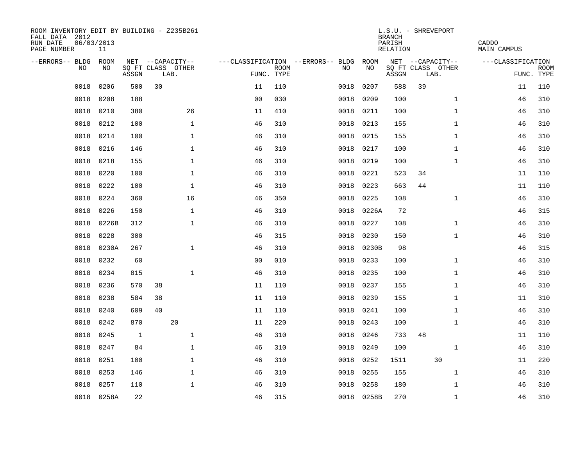| ROOM INVENTORY EDIT BY BUILDING - Z235B261<br>FALL DATA 2012<br>RUN DATE<br>PAGE NUMBER | 06/03/2013<br>11 |       |    |                           |                |                           |                                   |           |            | L.S.U. - SHREVEPORT<br><b>BRANCH</b><br>PARISH<br>RELATION |    |                           | CADDO<br>MAIN CAMPUS |            |             |
|-----------------------------------------------------------------------------------------|------------------|-------|----|---------------------------|----------------|---------------------------|-----------------------------------|-----------|------------|------------------------------------------------------------|----|---------------------------|----------------------|------------|-------------|
| --ERRORS-- BLDG ROOM                                                                    |                  |       |    | NET --CAPACITY--          |                |                           | ---CLASSIFICATION --ERRORS-- BLDG |           | ROOM       |                                                            |    | NET --CAPACITY--          | ---CLASSIFICATION    |            |             |
| NO.                                                                                     | NO.              | ASSGN |    | SQ FT CLASS OTHER<br>LAB. |                | <b>ROOM</b><br>FUNC. TYPE | NO.                               |           | NO         | $\operatorname{\mathsf{ASSGN}}$                            |    | SQ FT CLASS OTHER<br>LAB. |                      | FUNC. TYPE | <b>ROOM</b> |
| 0018                                                                                    | 0206             | 500   | 30 |                           | 11             | 110                       | 0018                              |           | 0207       | 588                                                        | 39 |                           |                      | 11         | 110         |
| 0018                                                                                    | 0208             | 188   |    |                           | 0 <sub>0</sub> | 030                       | 0018                              |           | 0209       | 100                                                        |    | $\mathbf{1}$              |                      | 46         | 310         |
| 0018                                                                                    | 0210             | 380   |    | 26                        | 11             | 410                       | 0018                              |           | 0211       | 100                                                        |    | $\mathbf{1}$              |                      | 46         | 310         |
| 0018                                                                                    | 0212             | 100   |    | $\mathbf{1}$              | 46             | 310                       |                                   | 0018 0213 |            | 155                                                        |    | $\mathbf{1}$              |                      | 46         | 310         |
| 0018                                                                                    | 0214             | 100   |    | $\mathbf{1}$              | 46             | 310                       | 0018                              |           | 0215       | 155                                                        |    | $\mathbf{1}$              |                      | 46         | 310         |
| 0018                                                                                    | 0216             | 146   |    | $\mathbf{1}$              | 46             | 310                       | 0018                              |           | 0217       | 100                                                        |    | $\mathbf{1}$              |                      | 46         | 310         |
| 0018                                                                                    | 0218             | 155   |    | $\mathbf{1}$              | 46             | 310                       | 0018                              |           | 0219       | 100                                                        |    | $\mathbf{1}$              |                      | 46         | 310         |
| 0018                                                                                    | 0220             | 100   |    | $\mathbf 1$               | 46             | 310                       | 0018                              |           | 0221       | 523                                                        | 34 |                           |                      | 11         | 110         |
| 0018                                                                                    | 0222             | 100   |    | $\mathbf{1}$              | 46             | 310                       | 0018                              |           | 0223       | 663                                                        | 44 |                           |                      | 11         | 110         |
| 0018                                                                                    | 0224             | 360   |    | 16                        | 46             | 350                       | 0018                              |           | 0225       | 108                                                        |    | $\mathbf{1}$              |                      | 46         | 310         |
| 0018                                                                                    | 0226             | 150   |    | $\mathbf{1}$              | 46             | 310                       | 0018                              |           | 0226A      | 72                                                         |    |                           |                      | 46         | 315         |
| 0018                                                                                    | 0226B            | 312   |    | $\mathbf{1}$              | 46             | 310                       | 0018                              |           | 0227       | 108                                                        |    | $\mathbf{1}$              |                      | 46         | 310         |
| 0018                                                                                    | 0228             | 300   |    |                           | 46             | 315                       | 0018                              |           | 0230       | 150                                                        |    | $\mathbf{1}$              |                      | 46         | 310         |
| 0018                                                                                    | 0230A            | 267   |    | $\mathbf 1$               | 46             | 310                       | 0018                              |           | 0230B      | 98                                                         |    |                           |                      | 46         | 315         |
| 0018                                                                                    | 0232             | 60    |    |                           | 0 <sub>0</sub> | 010                       | 0018                              |           | 0233       | 100                                                        |    | $\mathbf{1}$              |                      | 46         | 310         |
| 0018                                                                                    | 0234             | 815   |    | $\mathbf{1}$              | 46             | 310                       | 0018                              |           | 0235       | 100                                                        |    | $\mathbf{1}$              |                      | 46         | 310         |
| 0018                                                                                    | 0236             | 570   | 38 |                           | 11             | 110                       | 0018                              |           | 0237       | 155                                                        |    | $\mathbf{1}$              |                      | 46         | 310         |
| 0018                                                                                    | 0238             | 584   | 38 |                           | 11             | 110                       | 0018                              |           | 0239       | 155                                                        |    | $\mathbf{1}$              |                      | 11         | 310         |
| 0018                                                                                    | 0240             | 609   | 40 |                           | 11             | 110                       |                                   | 0018      | 0241       | 100                                                        |    | $\mathbf{1}$              |                      | 46         | 310         |
| 0018                                                                                    | 0242             | 870   |    | 20                        | 11             | 220                       | 0018                              |           | 0243       | 100                                                        |    | $\mathbf{1}$              |                      | 46         | 310         |
| 0018                                                                                    | 0245             | 1     |    | $\mathbf{1}$              | 46             | 310                       | 0018                              |           | 0246       | 733                                                        | 48 |                           |                      | 11         | 110         |
| 0018                                                                                    | 0247             | 84    |    | $\mathbf{1}$              | 46             | 310                       | 0018                              |           | 0249       | 100                                                        |    | $\mathbf{1}$              |                      | 46         | 310         |
| 0018                                                                                    | 0251             | 100   |    | $\mathbf 1$               | 46             | 310                       | 0018                              |           | 0252       | 1511                                                       |    | 30                        |                      | 11         | 220         |
| 0018                                                                                    | 0253             | 146   |    | $\mathbf 1$               | 46             | 310                       | 0018                              |           | 0255       | 155                                                        |    | $\mathbf{1}$              |                      | 46         | 310         |
| 0018                                                                                    | 0257             | 110   |    | $\mathbf{1}$              | 46             | 310                       | 0018                              |           | 0258       | 180                                                        |    | $\mathbf{1}$              |                      | 46         | 310         |
|                                                                                         | 0018 0258A       | 22    |    |                           | 46             | 315                       |                                   |           | 0018 0258B | 270                                                        |    | $\mathbf{1}$              |                      | 46         | 310         |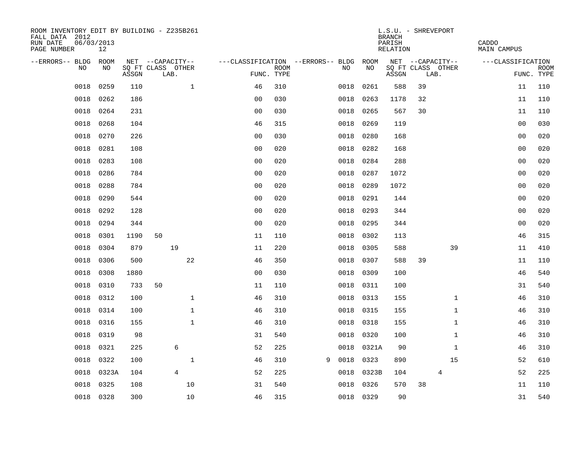| ROOM INVENTORY EDIT BY BUILDING - Z235B261<br>FALL DATA 2012<br>RUN DATE<br>PAGE NUMBER | 06/03/2013<br>12 |       |                           |                |                                        |             |   |           |       | L.S.U. - SHREVEPORT<br><b>BRANCH</b><br>PARISH<br>RELATION |    |                           | CADDO<br>MAIN CAMPUS |                           |
|-----------------------------------------------------------------------------------------|------------------|-------|---------------------------|----------------|----------------------------------------|-------------|---|-----------|-------|------------------------------------------------------------|----|---------------------------|----------------------|---------------------------|
| --ERRORS-- BLDG ROOM                                                                    |                  |       | NET --CAPACITY--          |                | ---CLASSIFICATION --ERRORS-- BLDG ROOM |             |   |           |       |                                                            |    | NET --CAPACITY--          | ---CLASSIFICATION    |                           |
| NO                                                                                      | NO               | ASSGN | SQ FT CLASS OTHER<br>LAB. |                | FUNC. TYPE                             | <b>ROOM</b> |   | NO        | NO    | ASSGN                                                      |    | SQ FT CLASS OTHER<br>LAB. |                      | <b>ROOM</b><br>FUNC. TYPE |
| 0018                                                                                    | 0259             | 110   |                           | $\mathbf{1}$   | 46                                     | 310         |   | 0018      | 0261  | 588                                                        | 39 |                           | 11                   | 110                       |
| 0018                                                                                    | 0262             | 186   |                           |                | 0 <sub>0</sub>                         | 030         |   | 0018      | 0263  | 1178                                                       | 32 |                           | 11                   | 110                       |
| 0018                                                                                    | 0264             | 231   |                           |                | 0 <sub>0</sub>                         | 030         |   | 0018      | 0265  | 567                                                        | 30 |                           | 11                   | 110                       |
| 0018                                                                                    | 0268             | 104   |                           |                | 46                                     | 315         |   | 0018      | 0269  | 119                                                        |    |                           | 0 <sub>0</sub>       | 030                       |
| 0018                                                                                    | 0270             | 226   |                           |                | 0 <sub>0</sub>                         | 030         |   | 0018      | 0280  | 168                                                        |    |                           | 00                   | 020                       |
| 0018                                                                                    | 0281             | 108   |                           |                | 0 <sub>0</sub>                         | 020         |   | 0018      | 0282  | 168                                                        |    |                           | 00                   | 020                       |
| 0018                                                                                    | 0283             | 108   |                           |                | 0 <sub>0</sub>                         | 020         |   | 0018      | 0284  | 288                                                        |    |                           | 0 <sub>0</sub>       | 020                       |
| 0018                                                                                    | 0286             | 784   |                           |                | 0 <sub>0</sub>                         | 020         |   | 0018      | 0287  | 1072                                                       |    |                           | 0 <sub>0</sub>       | 020                       |
| 0018                                                                                    | 0288             | 784   |                           |                | 0 <sub>0</sub>                         | 020         |   | 0018      | 0289  | 1072                                                       |    |                           | 00                   | 020                       |
| 0018                                                                                    | 0290             | 544   |                           |                | 0 <sub>0</sub>                         | 020         |   | 0018      | 0291  | 144                                                        |    |                           | 00                   | 020                       |
| 0018                                                                                    | 0292             | 128   |                           |                | 0 <sub>0</sub>                         | 020         |   | 0018      | 0293  | 344                                                        |    |                           | 0 <sub>0</sub>       | 020                       |
| 0018                                                                                    | 0294             | 344   |                           |                | 0 <sub>0</sub>                         | 020         |   | 0018      | 0295  | 344                                                        |    |                           | 0 <sub>0</sub>       | 020                       |
| 0018                                                                                    | 0301             | 1190  | 50                        |                | 11                                     | 110         |   | 0018      | 0302  | 113                                                        |    |                           | 46                   | 315                       |
| 0018                                                                                    | 0304             | 879   |                           | 19             | 11                                     | 220         |   | 0018      | 0305  | 588                                                        |    | 39                        | 11                   | 410                       |
| 0018                                                                                    | 0306             | 500   |                           | 22             | 46                                     | 350         |   | 0018      | 0307  | 588                                                        | 39 |                           | 11                   | 110                       |
| 0018                                                                                    | 0308             | 1880  |                           |                | 0 <sub>0</sub>                         | 030         |   | 0018      | 0309  | 100                                                        |    |                           | 46                   | 540                       |
| 0018                                                                                    | 0310             | 733   | 50                        |                | 11                                     | 110         |   | 0018 0311 |       | 100                                                        |    |                           | 31                   | 540                       |
| 0018                                                                                    | 0312             | 100   |                           | $\mathbf{1}$   | 46                                     | 310         |   | 0018      | 0313  | 155                                                        |    | $\mathbf{1}$              | 46                   | 310                       |
| 0018                                                                                    | 0314             | 100   |                           | $\mathbf{1}$   | 46                                     | 310         |   | 0018 0315 |       | 155                                                        |    | $\mathbf{1}$              | 46                   | 310                       |
| 0018                                                                                    | 0316             | 155   |                           | $\mathbf{1}$   | 46                                     | 310         |   | 0018      | 0318  | 155                                                        |    | $\mathbf{1}$              | 46                   | 310                       |
| 0018                                                                                    | 0319             | 98    |                           |                | 31                                     | 540         |   | 0018 0320 |       | 100                                                        |    | $\mathbf{1}$              | 46                   | 310                       |
| 0018                                                                                    | 0321             | 225   |                           | 6              | 52                                     | 225         |   | 0018      | 0321A | 90                                                         |    | $\mathbf{1}$              | 46                   | 310                       |
| 0018                                                                                    | 0322             | 100   |                           | $\mathbf 1$    | 46                                     | 310         | 9 | 0018      | 0323  | 890                                                        |    | 15                        | 52                   | 610                       |
| 0018                                                                                    | 0323A            | 104   |                           | $\overline{4}$ | 52                                     | 225         |   | 0018      | 0323B | 104                                                        |    | 4                         | 52                   | 225                       |
| 0018                                                                                    | 0325             | 108   |                           | 10             | 31                                     | 540         |   | 0018      | 0326  | 570                                                        | 38 |                           | 11                   | 110                       |
|                                                                                         | 0018 0328        | 300   |                           | 10             | 46                                     | 315         |   | 0018 0329 |       | 90                                                         |    |                           | 31                   | 540                       |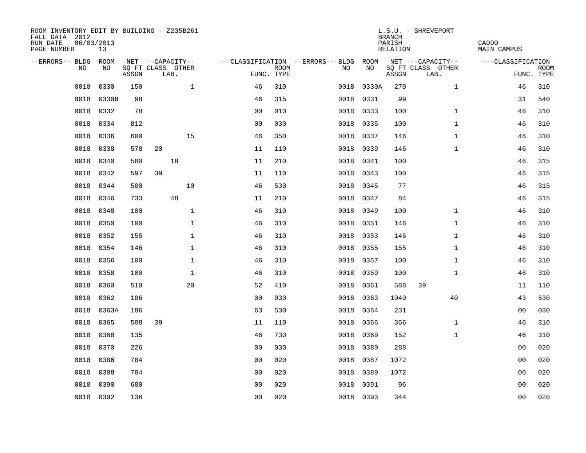| ROOM INVENTORY EDIT BY BUILDING - Z235B261<br>FALL DATA 2012<br>RUN DATE<br>PAGE NUMBER | 06/03/2013<br>13 |       |                           |              |                |                           |                                   |           |           | <b>BRANCH</b><br>PARISH<br>RELATION | L.S.U. - SHREVEPORT       | CADDO<br>MAIN CAMPUS |                           |
|-----------------------------------------------------------------------------------------|------------------|-------|---------------------------|--------------|----------------|---------------------------|-----------------------------------|-----------|-----------|-------------------------------------|---------------------------|----------------------|---------------------------|
| --ERRORS-- BLDG                                                                         | ROOM             |       | NET --CAPACITY--          |              |                |                           | ---CLASSIFICATION --ERRORS-- BLDG |           | ROOM      |                                     | NET --CAPACITY--          | ---CLASSIFICATION    |                           |
| N <sub>O</sub>                                                                          | NO.              | ASSGN | SO FT CLASS OTHER<br>LAB. |              |                | <b>ROOM</b><br>FUNC. TYPE |                                   | NO.       | NO        | ASSGN                               | SQ FT CLASS OTHER<br>LAB. |                      | <b>ROOM</b><br>FUNC. TYPE |
| 0018                                                                                    | 0330             | 150   |                           | $\mathbf{1}$ | 46             | 310                       |                                   | 0018      | 0330A     | 270                                 | $\mathbf{1}$              | 46                   | 310                       |
| 0018                                                                                    | 0330B            | 98    |                           |              | 46             | 315                       |                                   | 0018      | 0331      | 99                                  |                           | 31                   | 540                       |
| 0018                                                                                    | 0332             | 78    |                           |              | 00             | 010                       |                                   | 0018      | 0333      | 100                                 | $\mathbf{1}$              | 46                   | 310                       |
| 0018                                                                                    | 0334             | 812   |                           |              | 0 <sub>0</sub> | 030                       |                                   | 0018      | 0335      | 100                                 | $\mathbf{1}$              | 46                   | 310                       |
| 0018                                                                                    | 0336             | 600   | 15                        |              | 46             | 350                       |                                   | 0018      | 0337      | 146                                 | $\mathbf{1}$              | 46                   | 310                       |
| 0018                                                                                    | 0338             | 578   | 20                        |              | 11             | 110                       |                                   | 0018 0339 |           | 146                                 | $\mathbf{1}$              | 46                   | 310                       |
| 0018                                                                                    | 0340             | 580   | 18                        |              | 11             | 210                       |                                   | 0018      | 0341      | 100                                 |                           | 46                   | 315                       |
| 0018                                                                                    | 0342             | 597   | 39                        |              | 11             | 110                       |                                   | 0018      | 0343      | 100                                 |                           | 46                   | 315                       |
| 0018                                                                                    | 0344             | 580   | 10                        |              | 46             | 530                       |                                   | 0018      | 0345      | 77                                  |                           | 46                   | 315                       |
| 0018                                                                                    | 0346             | 733   | 48                        |              | 11             | 210                       |                                   | 0018 0347 |           | 84                                  |                           | 46                   | 315                       |
| 0018                                                                                    | 0348             | 100   |                           | $\mathbf 1$  | 46             | 310                       |                                   | 0018      | 0349      | 100                                 | $\mathbf{1}$              | 46                   | 310                       |
| 0018                                                                                    | 0350             | 100   |                           | $\mathbf{1}$ | 46             | 310                       |                                   |           | 0018 0351 | 146                                 | $\mathbf{1}$              | 46                   | 310                       |
| 0018                                                                                    | 0352             | 155   |                           | $\mathbf{1}$ | 46             | 310                       |                                   | 0018      | 0353      | 146                                 | $\mathbf{1}$              | 46                   | 310                       |
| 0018                                                                                    | 0354             | 146   |                           | $\mathbf{1}$ | 46             | 310                       |                                   | 0018      | 0355      | 155                                 | $\mathbf{1}$              | 46                   | 310                       |
| 0018                                                                                    | 0356             | 100   |                           | 1            | 46             | 310                       |                                   | 0018      | 0357      | 100                                 | $\mathbf{1}$              | 46                   | 310                       |
| 0018                                                                                    | 0358             | 100   |                           | $\mathbf 1$  | 46             | 310                       |                                   | 0018      | 0359      | 100                                 | $\mathbf{1}$              | 46                   | 310                       |
| 0018                                                                                    | 0360             | 510   | 20                        |              | 52             | 410                       |                                   | 0018      | 0361      | 588                                 | 39                        | 11                   | 110                       |
| 0018                                                                                    | 0362             | 186   |                           |              | 0 <sub>0</sub> | 030                       |                                   | 0018      | 0363      | 1040                                | 40                        | 43                   | 530                       |
| 0018                                                                                    | 0363A            | 186   |                           |              | 63             | 530                       |                                   | 0018      | 0364      | 231                                 |                           | 00                   | 030                       |
| 0018                                                                                    | 0365             | 588   | 39                        |              | 11             | 110                       |                                   | 0018      | 0366      | 366                                 | $\mathbf{1}$              | 46                   | 310                       |
| 0018                                                                                    | 0368             | 135   |                           |              | 46             | 730                       |                                   | 0018      | 0369      | 152                                 | $\mathbf{1}$              | 46                   | 310                       |
| 0018                                                                                    | 0370             | 226   |                           |              | 0 <sub>0</sub> | 030                       |                                   | 0018      | 0380      | 288                                 |                           | 00                   | 020                       |
| 0018                                                                                    | 0386             | 784   |                           |              | 0 <sub>0</sub> | 020                       |                                   | 0018      | 0387      | 1072                                |                           | 00                   | 020                       |
| 0018                                                                                    | 0388             | 784   |                           |              | 0 <sub>0</sub> | 020                       |                                   | 0018      | 0389      | 1072                                |                           | 00                   | 020                       |
| 0018                                                                                    | 0390             | 680   |                           |              | 0 <sub>0</sub> | 020                       |                                   | 0018      | 0391      | 96                                  |                           | 00                   | 020                       |
|                                                                                         | 0018 0392        | 136   |                           |              | 0 <sub>0</sub> | 020                       |                                   | 0018 0393 |           | 344                                 |                           | 0 <sub>0</sub>       | 020                       |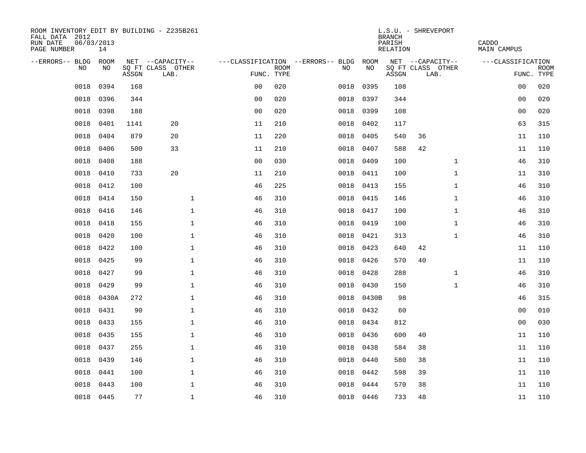| ROOM INVENTORY EDIT BY BUILDING - Z235B261<br>FALL DATA 2012<br>RUN DATE<br>PAGE NUMBER | 06/03/2013<br>14 |       |                           |                |             |                                   |           | <b>BRANCH</b><br>PARISH<br>RELATION | L.S.U. - SHREVEPORT       |              | CADDO<br>MAIN CAMPUS |                           |
|-----------------------------------------------------------------------------------------|------------------|-------|---------------------------|----------------|-------------|-----------------------------------|-----------|-------------------------------------|---------------------------|--------------|----------------------|---------------------------|
| --ERRORS-- BLDG ROOM                                                                    |                  |       | NET --CAPACITY--          |                |             | ---CLASSIFICATION --ERRORS-- BLDG | ROOM      |                                     | NET --CAPACITY--          |              | ---CLASSIFICATION    |                           |
| NO                                                                                      | NO               | ASSGN | SQ FT CLASS OTHER<br>LAB. | FUNC. TYPE     | <b>ROOM</b> | NO                                | NO        | ASSGN                               | SQ FT CLASS OTHER<br>LAB. |              |                      | <b>ROOM</b><br>FUNC. TYPE |
| 0018                                                                                    | 0394             | 168   |                           | 0 <sub>0</sub> | 020         | 0018                              | 0395      | 108                                 |                           |              | 0 <sub>0</sub>       | 020                       |
| 0018                                                                                    | 0396             | 344   |                           | 0 <sub>0</sub> | 020         | 0018                              | 0397      | 344                                 |                           |              | 00                   | 020                       |
| 0018                                                                                    | 0398             | 188   |                           | 0 <sub>0</sub> | 020         | 0018                              | 0399      | 108                                 |                           |              | 0 <sub>0</sub>       | 020                       |
| 0018                                                                                    | 0401             | 1141  | 20                        | 11             | 210         | 0018                              | 0402      | 117                                 |                           |              | 63                   | 315                       |
| 0018                                                                                    | 0404             | 879   | 20                        | 11             | 220         | 0018                              | 0405      | 540                                 | 36                        |              | 11                   | 110                       |
| 0018                                                                                    | 0406             | 500   | 33                        | 11             | 210         | 0018                              | 0407      | 588                                 | 42                        |              | 11                   | 110                       |
| 0018                                                                                    | 0408             | 188   |                           | 0 <sub>0</sub> | 030         | 0018                              | 0409      | 100                                 |                           | $\mathbf{1}$ | 46                   | 310                       |
| 0018                                                                                    | 0410             | 733   | 20                        | 11             | 210         |                                   | 0018 0411 | 100                                 |                           | $\mathbf{1}$ | 11                   | 310                       |
| 0018                                                                                    | 0412             | 100   |                           | 46             | 225         | 0018                              | 0413      | 155                                 |                           | $\mathbf{1}$ | 46                   | 310                       |
| 0018                                                                                    | 0414             | 150   | $\mathbf 1$               | 46             | 310         |                                   | 0018 0415 | 146                                 |                           | $\mathbf{1}$ | 46                   | 310                       |
| 0018                                                                                    | 0416             | 146   | $\mathbf{1}$              | 46             | 310         | 0018                              | 0417      | 100                                 |                           | $\mathbf{1}$ | 46                   | 310                       |
| 0018                                                                                    | 0418             | 155   | $\mathbf{1}$              | 46             | 310         |                                   | 0018 0419 | 100                                 |                           | $\mathbf{1}$ | 46                   | 310                       |
| 0018                                                                                    | 0420             | 100   | $\mathbf 1$               | 46             | 310         | 0018                              | 0421      | 313                                 |                           | $\mathbf{1}$ | 46                   | 310                       |
| 0018                                                                                    | 0422             | 100   | $\mathbf{1}$              | 46             | 310         | 0018                              | 0423      | 640                                 | 42                        |              | 11                   | 110                       |
| 0018                                                                                    | 0425             | 99    | $\mathbf{1}$              | 46             | 310         | 0018                              | 0426      | 570                                 | 40                        |              | 11                   | 110                       |
| 0018                                                                                    | 0427             | 99    | $\mathbf 1$               | 46             | 310         | 0018                              | 0428      | 288                                 |                           | $\mathbf{1}$ | 46                   | 310                       |
| 0018                                                                                    | 0429             | 99    | $\mathbf{1}$              | 46             | 310         |                                   | 0018 0430 | 150                                 |                           | $\mathbf{1}$ | 46                   | 310                       |
| 0018                                                                                    | 0430A            | 272   | $\mathbf{1}$              | 46             | 310         | 0018                              | 0430B     | 98                                  |                           |              | 46                   | 315                       |
| 0018                                                                                    | 0431             | 90    | $\mathbf{1}$              | 46             | 310         |                                   | 0018 0432 | 60                                  |                           |              | 0 <sub>0</sub>       | 010                       |
| 0018                                                                                    | 0433             | 155   | $\mathbf 1$               | 46             | 310         | 0018                              | 0434      | 812                                 |                           |              | 00                   | 030                       |
| 0018                                                                                    | 0435             | 155   | $\mathbf 1$               | 46             | 310         |                                   | 0018 0436 | 600                                 | 40                        |              | 11                   | 110                       |
| 0018                                                                                    | 0437             | 255   | $\mathbf 1$               | 46             | 310         | 0018                              | 0438      | 584                                 | 38                        |              | 11                   | 110                       |
| 0018                                                                                    | 0439             | 146   | $\mathbf{1}$              | 46             | 310         | 0018                              | 0440      | 580                                 | 38                        |              | 11                   | 110                       |
| 0018                                                                                    | 0441             | 100   | $\mathbf{1}$              | 46             | 310         | 0018                              | 0442      | 598                                 | 39                        |              | 11                   | 110                       |
| 0018                                                                                    | 0443             | 100   | $\mathbf{1}$              | 46             | 310         | 0018                              | 0444      | 570                                 | 38                        |              | 11                   | 110                       |
|                                                                                         | 0018 0445        | 77    | $\mathbf{1}$              | 46             | 310         |                                   | 0018 0446 | 733                                 | 48                        |              | 11                   | 110                       |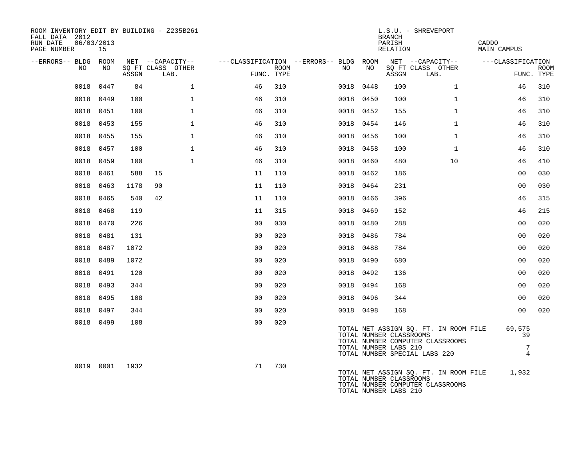| ROOM INVENTORY EDIT BY BUILDING - Z235B261<br>FALL DATA 2012<br>06/03/2013<br>RUN DATE<br>PAGE NUMBER | 15        |                |                                       |                                        |      |    |           | <b>BRANCH</b><br>PARISH<br>RELATION              | L.S.U. - SHREVEPORT                                                                                        | CADDO<br><b>MAIN CAMPUS</b>         |                           |
|-------------------------------------------------------------------------------------------------------|-----------|----------------|---------------------------------------|----------------------------------------|------|----|-----------|--------------------------------------------------|------------------------------------------------------------------------------------------------------------|-------------------------------------|---------------------------|
| --ERRORS-- BLDG ROOM<br>NO                                                                            | NO        |                | NET --CAPACITY--<br>SQ FT CLASS OTHER | ---CLASSIFICATION --ERRORS-- BLDG ROOM |      | NO | NO        |                                                  | NET --CAPACITY--<br>SQ FT CLASS OTHER                                                                      | ---CLASSIFICATION                   |                           |
|                                                                                                       |           | ASSGN          | LAB.                                  | FUNC. TYPE                             | ROOM |    |           | ASSGN                                            | LAB.                                                                                                       |                                     | <b>ROOM</b><br>FUNC. TYPE |
| 0018                                                                                                  | 0447      | 84             | $\mathbf{1}$                          | 46                                     | 310  |    | 0018 0448 | 100                                              | $\mathbf{1}$                                                                                               | 46                                  | 310                       |
|                                                                                                       | 0018 0449 | 100            | $\mathbf 1$                           | 46                                     | 310  |    | 0018 0450 | 100                                              | $\mathbf{1}$                                                                                               | 46                                  | 310                       |
|                                                                                                       | 0018 0451 | 100            | $\mathbf{1}$                          | 46                                     | 310  |    | 0018 0452 | 155                                              | $\mathbf{1}$                                                                                               | 46                                  | 310                       |
|                                                                                                       | 0018 0453 | 155            | $\mathbf 1$                           | 46                                     | 310  |    | 0018 0454 | 146                                              | $\mathbf{1}$                                                                                               | 46                                  | 310                       |
|                                                                                                       | 0018 0455 | 155            | $\mathbf{1}$                          | 46                                     | 310  |    | 0018 0456 | 100                                              | $\mathbf{1}$                                                                                               | 46                                  | 310                       |
|                                                                                                       | 0018 0457 | 100            | $\mathbf{1}$                          | 46                                     | 310  |    | 0018 0458 | 100                                              | $\mathbf{1}$                                                                                               | 46                                  | 310                       |
|                                                                                                       | 0018 0459 | 100            | $\mathbf{1}$                          | 46                                     | 310  |    | 0018 0460 | 480                                              | 10                                                                                                         | 46                                  | 410                       |
| 0018                                                                                                  | 0461      | 588            | 15                                    | 11                                     | 110  |    | 0018 0462 | 186                                              |                                                                                                            | 0 <sub>0</sub>                      | 030                       |
|                                                                                                       | 0018 0463 | 1178           | 90                                    | 11                                     | 110  |    | 0018 0464 | 231                                              |                                                                                                            | 0 <sub>0</sub>                      | 030                       |
|                                                                                                       | 0018 0465 | 540            | 42                                    | 11                                     | 110  |    | 0018 0466 | 396                                              |                                                                                                            | 46                                  | 315                       |
|                                                                                                       | 0018 0468 | 119            |                                       | 11                                     | 315  |    | 0018 0469 | 152                                              |                                                                                                            | 46                                  | 215                       |
| 0018                                                                                                  | 0470      | 226            |                                       | 0 <sub>0</sub>                         | 030  |    | 0018 0480 | 288                                              |                                                                                                            | 0 <sub>0</sub>                      | 020                       |
| 0018                                                                                                  | 0481      | 131            |                                       | 0 <sub>0</sub>                         | 020  |    | 0018 0486 | 784                                              |                                                                                                            | 0 <sub>0</sub>                      | 020                       |
| 0018                                                                                                  | 0487      | 1072           |                                       | 0 <sub>0</sub>                         | 020  |    | 0018 0488 | 784                                              |                                                                                                            | 0 <sub>0</sub>                      | 020                       |
|                                                                                                       | 0018 0489 | 1072           |                                       | 0 <sub>0</sub>                         | 020  |    | 0018 0490 | 680                                              |                                                                                                            | 0 <sub>0</sub>                      | 020                       |
| 0018                                                                                                  | 0491      | 120            |                                       | 0 <sub>0</sub>                         | 020  |    | 0018 0492 | 136                                              |                                                                                                            | 00                                  | 020                       |
|                                                                                                       | 0018 0493 | 344            |                                       | 0 <sub>0</sub>                         | 020  |    | 0018 0494 | 168                                              |                                                                                                            | 00                                  | 020                       |
|                                                                                                       | 0018 0495 | 108            |                                       | 0 <sub>0</sub>                         | 020  |    | 0018 0496 | 344                                              |                                                                                                            | 00                                  | 020                       |
|                                                                                                       | 0018 0497 | 344            |                                       | 0 <sub>0</sub>                         | 020  |    | 0018 0498 | 168                                              |                                                                                                            | 00                                  | 020                       |
|                                                                                                       | 0018 0499 | 108            |                                       | 0 <sub>0</sub>                         | 020  |    |           | TOTAL NUMBER CLASSROOMS<br>TOTAL NUMBER LABS 210 | TOTAL NET ASSIGN SQ. FT. IN ROOM FILE<br>TOTAL NUMBER COMPUTER CLASSROOMS<br>TOTAL NUMBER SPECIAL LABS 220 | 69,575<br>39<br>7<br>$\overline{4}$ |                           |
|                                                                                                       |           | 0019 0001 1932 |                                       | 71                                     | 730  |    |           | TOTAL NUMBER CLASSROOMS<br>TOTAL NUMBER LABS 210 | TOTAL NET ASSIGN SQ. FT. IN ROOM FILE 1,932<br>TOTAL NUMBER COMPUTER CLASSROOMS                            |                                     |                           |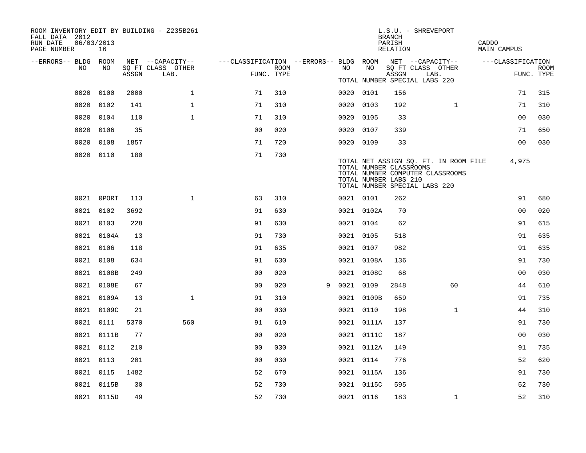| ROOM INVENTORY EDIT BY BUILDING - Z235B261<br>FALL DATA 2012<br>06/03/2013<br>RUN DATE<br>PAGE NUMBER | 16         |       |                           |                                        |      |   |           |            | <b>BRANCH</b><br>PARISH<br>RELATION              | L.S.U. - SHREVEPORT                                                                                        | CADDO<br>MAIN CAMPUS |                           |
|-------------------------------------------------------------------------------------------------------|------------|-------|---------------------------|----------------------------------------|------|---|-----------|------------|--------------------------------------------------|------------------------------------------------------------------------------------------------------------|----------------------|---------------------------|
| --ERRORS-- BLDG ROOM                                                                                  |            |       | NET --CAPACITY--          | ---CLASSIFICATION --ERRORS-- BLDG ROOM |      |   |           |            |                                                  | NET --CAPACITY--                                                                                           | ---CLASSIFICATION    |                           |
| NO                                                                                                    | NO         | ASSGN | SQ FT CLASS OTHER<br>LAB. | FUNC. TYPE                             | ROOM |   | NO        | NO         | ASSGN                                            | SQ FT CLASS OTHER<br>LAB.                                                                                  |                      | <b>ROOM</b><br>FUNC. TYPE |
|                                                                                                       |            |       |                           |                                        |      |   |           |            |                                                  | TOTAL NUMBER SPECIAL LABS 220                                                                              |                      |                           |
| 0020                                                                                                  | 0100       | 2000  | $\mathbf{1}$              | 71                                     | 310  |   | 0020 0101 |            | 156                                              |                                                                                                            | 71                   | 315                       |
| 0020                                                                                                  | 0102       | 141   | $\mathbf{1}$              | 71                                     | 310  |   | 0020 0103 |            | 192                                              | $\mathbf{1}$                                                                                               | 71                   | 310                       |
| 0020 0104                                                                                             |            | 110   | $\mathbf 1$               | 71                                     | 310  |   | 0020 0105 |            | 33                                               |                                                                                                            | 0 <sub>0</sub>       | 030                       |
| 0020 0106                                                                                             |            | 35    |                           | 0 <sub>0</sub>                         | 020  |   | 0020 0107 |            | 339                                              |                                                                                                            | 71                   | 650                       |
| 0020 0108                                                                                             |            | 1857  |                           | 71                                     | 720  |   | 0020 0109 |            | 33                                               |                                                                                                            | 0 <sub>0</sub>       | 030                       |
| 0020 0110                                                                                             |            | 180   |                           | 71                                     | 730  |   |           |            | TOTAL NUMBER CLASSROOMS<br>TOTAL NUMBER LABS 210 | TOTAL NET ASSIGN SQ. FT. IN ROOM FILE<br>TOTAL NUMBER COMPUTER CLASSROOMS<br>TOTAL NUMBER SPECIAL LABS 220 | 4,975                |                           |
|                                                                                                       | 0021 OPORT | 113   | $\mathbf{1}$              | 63                                     | 310  |   | 0021 0101 |            | 262                                              |                                                                                                            | 91                   | 680                       |
|                                                                                                       | 0021 0102  | 3692  |                           | 91                                     | 630  |   |           | 0021 0102A | 70                                               |                                                                                                            | 0 <sub>0</sub>       | 020                       |
| 0021 0103                                                                                             |            | 228   |                           | 91                                     | 630  |   | 0021 0104 |            | 62                                               |                                                                                                            | 91                   | 615                       |
|                                                                                                       | 0021 0104A | 13    |                           | 91                                     | 730  |   | 0021 0105 |            | 518                                              |                                                                                                            | 91                   | 635                       |
| 0021 0106                                                                                             |            | 118   |                           | 91                                     | 635  |   | 0021 0107 |            | 982                                              |                                                                                                            | 91                   | 635                       |
| 0021 0108                                                                                             |            | 634   |                           | 91                                     | 630  |   |           | 0021 0108A | 136                                              |                                                                                                            | 91                   | 730                       |
|                                                                                                       | 0021 0108B | 249   |                           | 0 <sub>0</sub>                         | 020  |   |           | 0021 0108C | 68                                               |                                                                                                            | 0 <sub>0</sub>       | 030                       |
|                                                                                                       | 0021 0108E | 67    |                           | 0 <sub>0</sub>                         | 020  | 9 | 0021 0109 |            | 2848                                             | 60                                                                                                         | 44                   | 610                       |
|                                                                                                       | 0021 0109A | 13    | $\mathbf 1$               | 91                                     | 310  |   |           | 0021 0109B | 659                                              |                                                                                                            | 91                   | 735                       |
|                                                                                                       | 0021 0109C | 21    |                           | 0 <sub>0</sub>                         | 030  |   | 0021 0110 |            | 198                                              | $\mathbf{1}$                                                                                               | 44                   | 310                       |
|                                                                                                       | 0021 0111  | 5370  | 560                       | 91                                     | 610  |   |           | 0021 0111A | 137                                              |                                                                                                            | 91                   | 730                       |
|                                                                                                       | 0021 0111B | 77    |                           | 0 <sub>0</sub>                         | 020  |   |           | 0021 0111C | 187                                              |                                                                                                            | 0 <sub>0</sub>       | 030                       |
| 0021 0112                                                                                             |            | 210   |                           | 0 <sub>0</sub>                         | 030  |   |           | 0021 0112A | 149                                              |                                                                                                            | 91                   | 735                       |
| 0021 0113                                                                                             |            | 201   |                           | 0 <sub>0</sub>                         | 030  |   | 0021 0114 |            | 776                                              |                                                                                                            | 52                   | 620                       |
| 0021 0115                                                                                             |            | 1482  |                           | 52                                     | 670  |   |           | 0021 0115A | 136                                              |                                                                                                            | 91                   | 730                       |
|                                                                                                       | 0021 0115B | 30    |                           | 52                                     | 730  |   |           | 0021 0115C | 595                                              |                                                                                                            | 52                   | 730                       |
|                                                                                                       | 0021 0115D | 49    |                           | 52                                     | 730  |   | 0021 0116 |            | 183                                              | $\mathbf{1}$                                                                                               | 52                   | 310                       |
|                                                                                                       |            |       |                           |                                        |      |   |           |            |                                                  |                                                                                                            |                      |                           |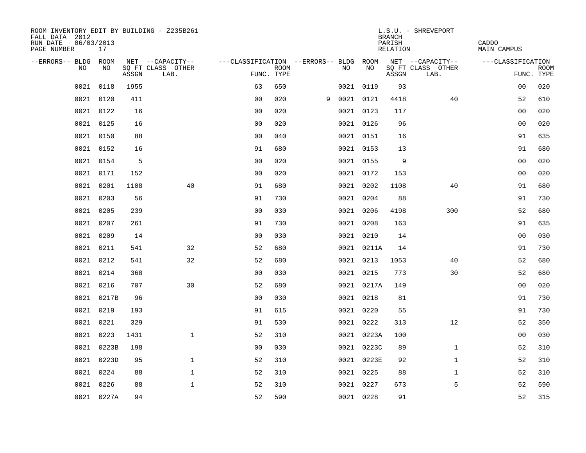| ROOM INVENTORY EDIT BY BUILDING - Z235B261<br>FALL DATA 2012<br>RUN DATE<br>PAGE NUMBER | 06/03/2013<br>17 |       |                           |                                        |             |   |           |            | <b>BRANCH</b><br>PARISH<br>RELATION | L.S.U. - SHREVEPORT       | CADDO<br>MAIN CAMPUS |             |
|-----------------------------------------------------------------------------------------|------------------|-------|---------------------------|----------------------------------------|-------------|---|-----------|------------|-------------------------------------|---------------------------|----------------------|-------------|
| --ERRORS-- BLDG ROOM                                                                    |                  |       | NET --CAPACITY--          | ---CLASSIFICATION --ERRORS-- BLDG ROOM |             |   |           |            |                                     | NET --CAPACITY--          | ---CLASSIFICATION    |             |
| NO.                                                                                     | NO.              | ASSGN | SQ FT CLASS OTHER<br>LAB. | FUNC. TYPE                             | <b>ROOM</b> |   | NO.       | <b>NO</b>  | ASSGN                               | SQ FT CLASS OTHER<br>LAB. | FUNC. TYPE           | <b>ROOM</b> |
| 0021                                                                                    | 0118             | 1955  |                           | 63                                     | 650         |   | 0021 0119 |            | 93                                  |                           | 0 <sub>0</sub>       | 020         |
| 0021                                                                                    | 0120             | 411   |                           | 0 <sub>0</sub>                         | 020         | 9 | 0021 0121 |            | 4418                                | 40                        | 52                   | 610         |
|                                                                                         | 0021 0122        | 16    |                           | 0 <sub>0</sub>                         | 020         |   | 0021 0123 |            | 117                                 |                           | 0 <sub>0</sub>       | 020         |
|                                                                                         | 0021 0125        | 16    |                           | 0 <sub>0</sub>                         | 020         |   | 0021 0126 |            | 96                                  |                           | 00                   | 020         |
|                                                                                         | 0021 0150        | 88    |                           | 0 <sub>0</sub>                         | 040         |   | 0021 0151 |            | 16                                  |                           | 91                   | 635         |
| 0021                                                                                    | 0152             | 16    |                           | 91                                     | 680         |   |           | 0021 0153  | 13                                  |                           | 91                   | 680         |
| 0021                                                                                    | 0154             | 5     |                           | 0 <sub>0</sub>                         | 020         |   | 0021 0155 |            | 9                                   |                           | 0 <sub>0</sub>       | 020         |
| 0021                                                                                    | 0171             | 152   |                           | 0 <sub>0</sub>                         | 020         |   |           | 0021 0172  | 153                                 |                           | 0 <sub>0</sub>       | 020         |
| 0021                                                                                    | 0201             | 1108  | 40                        | 91                                     | 680         |   | 0021 0202 |            | 1108                                | 40                        | 91                   | 680         |
|                                                                                         | 0021 0203        | 56    |                           | 91                                     | 730         |   | 0021 0204 |            | 88                                  |                           | 91                   | 730         |
|                                                                                         | 0021 0205        | 239   |                           | 0 <sub>0</sub>                         | 030         |   | 0021 0206 |            | 4198                                | 300                       | 52                   | 680         |
|                                                                                         | 0021 0207        | 261   |                           | 91                                     | 730         |   |           | 0021 0208  | 163                                 |                           | 91                   | 635         |
| 0021                                                                                    | 0209             | 14    |                           | 0 <sub>0</sub>                         | 030         |   | 0021 0210 |            | 14                                  |                           | 0 <sub>0</sub>       | 030         |
| 0021                                                                                    | 0211             | 541   | 32                        | 52                                     | 680         |   |           | 0021 0211A | 14                                  |                           | 91                   | 730         |
| 0021                                                                                    | 0212             | 541   | 32                        | 52                                     | 680         |   | 0021 0213 |            | 1053                                | 40                        | 52                   | 680         |
| 0021                                                                                    | 0214             | 368   |                           | 0 <sub>0</sub>                         | 030         |   | 0021 0215 |            | 773                                 | 30                        | 52                   | 680         |
| 0021                                                                                    | 0216             | 707   | 30                        | 52                                     | 680         |   |           | 0021 0217A | 149                                 |                           | 0 <sub>0</sub>       | 020         |
| 0021                                                                                    | 0217B            | 96    |                           | 0 <sub>0</sub>                         | 030         |   |           | 0021 0218  | 81                                  |                           | 91                   | 730         |
|                                                                                         | 0021 0219        | 193   |                           | 91                                     | 615         |   | 0021 0220 |            | 55                                  |                           | 91                   | 730         |
|                                                                                         | 0021 0221        | 329   |                           | 91                                     | 530         |   | 0021 0222 |            | 313                                 | 12                        | 52                   | 350         |
|                                                                                         | 0021 0223        | 1431  | $\mathbf{1}$              | 52                                     | 310         |   |           | 0021 0223A | 100                                 |                           | 00                   | 030         |
| 0021                                                                                    | 0223B            | 198   |                           | 00                                     | 030         |   |           | 0021 0223C | 89                                  | $\mathbf{1}$              | 52                   | 310         |
|                                                                                         | 0021 0223D       | 95    | $\mathbf 1$               | 52                                     | 310         |   |           | 0021 0223E | 92                                  | $\mathbf{1}$              | 52                   | 310         |
| 0021                                                                                    | 0224             | 88    | $\mathbf 1$               | 52                                     | 310         |   | 0021 0225 |            | 88                                  | $\mathbf{1}$              | 52                   | 310         |
| 0021                                                                                    | 0226             | 88    | $\mathbf{1}$              | 52                                     | 310         |   |           | 0021 0227  | 673                                 | 5                         | 52                   | 590         |
|                                                                                         | 0021 0227A       | 94    |                           | 52                                     | 590         |   | 0021 0228 |            | 91                                  |                           | 52                   | 315         |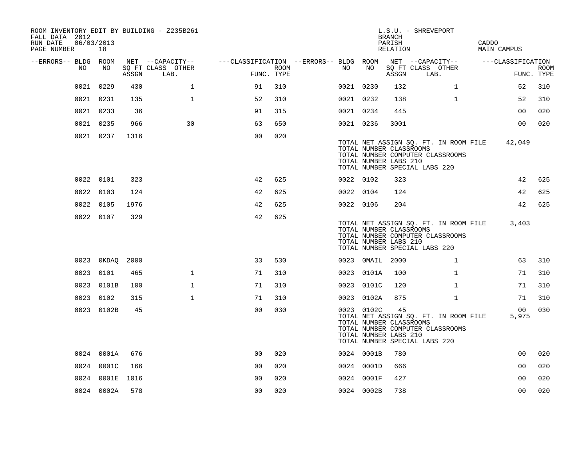| FALL DATA 2012<br>RUN DATE<br>PAGE NUMBER |      | 06/03/2013<br>18 |       | ROOM INVENTORY EDIT BY BUILDING - Z235B261    |                                                      |      |           |                 | <b>BRANCH</b><br>PARISH<br>RELATION                    | L.S.U. - SHREVEPORT                                                                                        | CADDO<br><b>MAIN CAMPUS</b> |                           |
|-------------------------------------------|------|------------------|-------|-----------------------------------------------|------------------------------------------------------|------|-----------|-----------------|--------------------------------------------------------|------------------------------------------------------------------------------------------------------------|-----------------------------|---------------------------|
| --ERRORS-- BLDG ROOM                      | NO   | NO               | ASSGN | NET --CAPACITY--<br>SQ FT CLASS OTHER<br>LAB. | ---CLASSIFICATION --ERRORS-- BLDG ROOM<br>FUNC. TYPE | ROOM | NO        | NO              | ASSGN                                                  | NET --CAPACITY--<br>SQ FT CLASS OTHER<br>LAB.                                                              | ---CLASSIFICATION           | <b>ROOM</b><br>FUNC. TYPE |
|                                           |      | 0021 0229        | 430   | $\mathbf{1}$                                  | 91                                                   | 310  | 0021 0230 |                 | 132                                                    | $\mathbf{1}$                                                                                               | 52                          | 310                       |
|                                           |      | 0021 0231        | 135   | $\mathbf{1}$                                  | 52                                                   | 310  | 0021 0232 |                 | 138                                                    | $\mathbf{1}$                                                                                               | 52                          | 310                       |
|                                           |      | 0021 0233        | 36    |                                               | 91                                                   | 315  | 0021 0234 |                 | 445                                                    |                                                                                                            | 0 <sub>0</sub>              | 020                       |
|                                           |      | 0021 0235        | 966   | 30                                            | 63                                                   | 650  | 0021 0236 |                 | 3001                                                   |                                                                                                            | 0 <sub>0</sub>              | 020                       |
|                                           |      | 0021 0237        | 1316  |                                               | 0 <sub>0</sub>                                       | 020  |           |                 | TOTAL NUMBER CLASSROOMS<br>TOTAL NUMBER LABS 210       | TOTAL NET ASSIGN SQ. FT. IN ROOM FILE<br>TOTAL NUMBER COMPUTER CLASSROOMS<br>TOTAL NUMBER SPECIAL LABS 220 | 42,049                      |                           |
|                                           |      | 0022 0101        | 323   |                                               | 42                                                   | 625  | 0022 0102 |                 | 323                                                    |                                                                                                            | 42                          | 625                       |
|                                           |      | 0022 0103        | 124   |                                               | 42                                                   | 625  | 0022 0104 |                 | 124                                                    |                                                                                                            | 42                          | 625                       |
|                                           |      | 0022 0105        | 1976  |                                               | 42                                                   | 625  | 0022 0106 |                 | 204                                                    |                                                                                                            | 42                          | 625                       |
|                                           |      | 0022 0107        | 329   |                                               | 42                                                   | 625  |           |                 | TOTAL NUMBER CLASSROOMS<br>TOTAL NUMBER LABS 210       | TOTAL NET ASSIGN SQ. FT. IN ROOM FILE<br>TOTAL NUMBER COMPUTER CLASSROOMS<br>TOTAL NUMBER SPECIAL LABS 220 | 3,403                       |                           |
|                                           |      | 0023 0KDAQ       | 2000  |                                               | 33                                                   | 530  |           | 0023 0MAIL 2000 |                                                        | $\mathbf{1}$                                                                                               | 63                          | 310                       |
|                                           | 0023 | 0101             | 465   | $\mathbf{1}$                                  | 71                                                   | 310  |           | 0023 0101A      | 100                                                    | $\mathbf{1}$                                                                                               | 71                          | 310                       |
|                                           |      | 0023 0101B       | 100   | $\mathbf 1$                                   | 71                                                   | 310  |           | 0023 0101C      | 120                                                    | $\mathbf{1}$                                                                                               | 71                          | 310                       |
|                                           |      | 0023 0102        | 315   | 1                                             | 71                                                   | 310  |           | 0023 0102A      | 875                                                    | $\mathbf{1}$                                                                                               | 71                          | 310                       |
|                                           |      | 0023 0102B       | 45    |                                               | 0 <sub>0</sub>                                       | 030  |           | 0023 0102C      | 45<br>TOTAL NUMBER CLASSROOMS<br>TOTAL NUMBER LABS 210 | TOTAL NET ASSIGN SQ. FT. IN ROOM FILE<br>TOTAL NUMBER COMPUTER CLASSROOMS<br>TOTAL NUMBER SPECIAL LABS 220 | 00 <sub>o</sub><br>5,975    | 030                       |
|                                           |      | 0024 0001A       | 676   |                                               | 0 <sup>0</sup>                                       | 020  |           | 0024 0001B      | 780                                                    |                                                                                                            | 0 <sub>0</sub>              | 020                       |
|                                           |      | 0024 0001C       | 166   |                                               | 0 <sub>0</sub>                                       | 020  |           | 0024 0001D      | 666                                                    |                                                                                                            | 0 <sub>0</sub>              | 020                       |
|                                           |      | 0024 0001E       | 1016  |                                               | 0 <sub>0</sub>                                       | 020  |           | 0024 0001F      | 427                                                    |                                                                                                            | 0 <sub>0</sub>              | 020                       |
|                                           |      | 0024 0002A       | 578   |                                               | 0 <sub>0</sub>                                       | 020  |           | 0024 0002B      | 738                                                    |                                                                                                            | 0 <sub>0</sub>              | 020                       |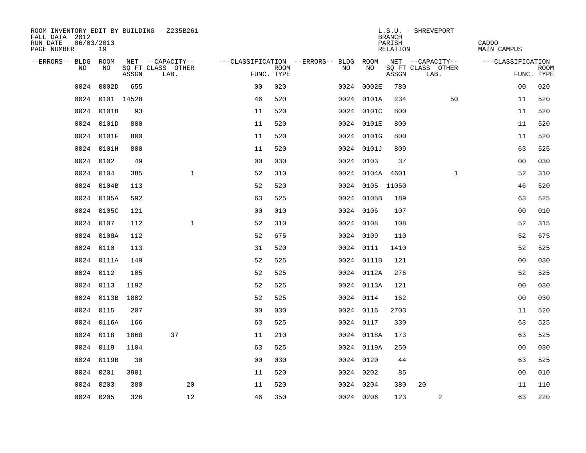| ROOM INVENTORY EDIT BY BUILDING - Z235B261<br>FALL DATA 2012<br>RUN DATE<br>PAGE NUMBER | 06/03/2013<br>19 |       |                           |                |             |                                        |                 | <b>BRANCH</b><br>PARISH<br>RELATION | L.S.U. - SHREVEPORT       | CADDO<br><b>MAIN CAMPUS</b> |                           |
|-----------------------------------------------------------------------------------------|------------------|-------|---------------------------|----------------|-------------|----------------------------------------|-----------------|-------------------------------------|---------------------------|-----------------------------|---------------------------|
| --ERRORS-- BLDG ROOM                                                                    |                  |       | NET --CAPACITY--          |                |             | ---CLASSIFICATION --ERRORS-- BLDG ROOM |                 |                                     | NET --CAPACITY--          | ---CLASSIFICATION           |                           |
| NO                                                                                      | NO               | ASSGN | SQ FT CLASS OTHER<br>LAB. | FUNC. TYPE     | <b>ROOM</b> | NO                                     | NO              | ASSGN                               | SQ FT CLASS OTHER<br>LAB. |                             | <b>ROOM</b><br>FUNC. TYPE |
| 0024                                                                                    | 0002D            | 655   |                           | 0 <sup>0</sup> | 020         |                                        | 0024 0002E      | 780                                 |                           | 0 <sub>0</sub>              | 020                       |
|                                                                                         | 0024 0101 14528  |       |                           | 46             | 520         |                                        | 0024 0101A      | 234                                 | 50                        | 11                          | 520                       |
|                                                                                         | 0024 0101B       | 93    |                           | 11             | 520         |                                        | 0024 0101C      | 800                                 |                           | 11                          | 520                       |
|                                                                                         | 0024 0101D       | 800   |                           | 11             | 520         |                                        | 0024 0101E      | 800                                 |                           | 11                          | 520                       |
|                                                                                         | 0024 0101F       | 800   |                           | 11             | 520         |                                        | 0024 0101G      | 800                                 |                           | 11                          | 520                       |
|                                                                                         | 0024 0101H       | 800   |                           | 11             | 520         |                                        | 0024 0101J      | 809                                 |                           | 63                          | 525                       |
|                                                                                         | 0024 0102        | 49    |                           | 0 <sub>0</sub> | 030         |                                        | 0024 0103       | 37                                  |                           | 00                          | 030                       |
|                                                                                         | 0024 0104        | 385   | $\mathbf{1}$              | 52             | 310         |                                        | 0024 0104A 4601 |                                     | $\mathbf{1}$              | 52                          | 310                       |
|                                                                                         | 0024 0104B       | 113   |                           | 52             | 520         |                                        | 0024 0105 11050 |                                     |                           | 46                          | 520                       |
|                                                                                         | 0024 0105A       | 592   |                           | 63             | 525         |                                        | 0024 0105B      | 189                                 |                           | 63                          | 525                       |
|                                                                                         | 0024 0105C       | 121   |                           | 0 <sub>0</sub> | 010         |                                        | 0024 0106       | 107                                 |                           | 0 <sub>0</sub>              | 010                       |
|                                                                                         | 0024 0107        | 112   | $\mathbf{1}$              | 52             | 310         |                                        | 0024 0108       | 108                                 |                           | 52                          | 315                       |
|                                                                                         | 0024 0108A       | 112   |                           | 52             | 675         |                                        | 0024 0109       | 110                                 |                           | 52                          | 675                       |
|                                                                                         | 0024 0110        | 113   |                           | 31             | 520         |                                        | 0024 0111       | 1410                                |                           | 52                          | 525                       |
|                                                                                         | 0024 0111A       | 149   |                           | 52             | 525         |                                        | 0024 0111B      | 121                                 |                           | 0 <sub>0</sub>              | 030                       |
|                                                                                         | 0024 0112        | 105   |                           | 52             | 525         |                                        | 0024 0112A      | 276                                 |                           | 52                          | 525                       |
|                                                                                         | 0024 0113        | 1192  |                           | 52             | 525         |                                        | 0024 0113A      | 121                                 |                           | 00                          | 030                       |
|                                                                                         | 0024 0113B       | 1802  |                           | 52             | 525         |                                        | 0024 0114       | 162                                 |                           | 00                          | 030                       |
|                                                                                         | 0024 0115        | 207   |                           | 0 <sub>0</sub> | 030         |                                        | 0024 0116       | 2703                                |                           | 11                          | 520                       |
|                                                                                         | 0024 0116A       | 166   |                           | 63             | 525         |                                        | 0024 0117       | 330                                 |                           | 63                          | 525                       |
|                                                                                         | 0024 0118        | 1868  | 37                        | 11             | 210         |                                        | 0024 0118A      | 173                                 |                           | 63                          | 525                       |
| 0024                                                                                    | 0119             | 1104  |                           | 63             | 525         |                                        | 0024 0119A      | 250                                 |                           | 0 <sub>0</sub>              | 030                       |
|                                                                                         | 0024 0119B       | 30    |                           | 0 <sub>0</sub> | 030         |                                        | 0024 0120       | 44                                  |                           | 63                          | 525                       |
| 0024                                                                                    | 0201             | 3901  |                           | 11             | 520         |                                        | 0024 0202       | 85                                  |                           | 0 <sub>0</sub>              | 010                       |
|                                                                                         | 0024 0203        | 380   | 20                        | 11             | 520         |                                        | 0024 0204       | 380                                 | 20                        | 11                          | 110                       |
|                                                                                         | 0024 0205        | 326   | 12                        | 46             | 350         |                                        | 0024 0206       | 123                                 | 2                         | 63                          | 220                       |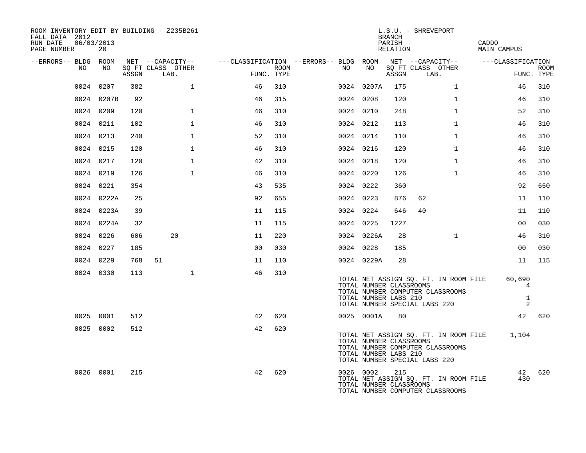| ROOM INVENTORY EDIT BY BUILDING - Z235B261<br>FALL DATA 2012<br>RUN DATE<br>06/03/2013<br>PAGE NUMBER | 20         |       |                                       |                |      |                                                               |                                                  | BRANCH<br>PARISH<br>RELATION | L.S.U. - SHREVEPORT                                                                                        | CADDO<br>MAIN CAMPUS                        |             |
|-------------------------------------------------------------------------------------------------------|------------|-------|---------------------------------------|----------------|------|---------------------------------------------------------------|--------------------------------------------------|------------------------------|------------------------------------------------------------------------------------------------------------|---------------------------------------------|-------------|
| --ERRORS-- BLDG ROOM<br>NO                                                                            | NO         |       | NET --CAPACITY--<br>SQ FT CLASS OTHER |                | ROOM | ---CLASSIFICATION --ERRORS-- BLDG ROOM NET --CAPACITY--<br>NO | NO                                               |                              | SQ FT CLASS OTHER                                                                                          | ---CLASSIFICATION                           | <b>ROOM</b> |
|                                                                                                       |            | ASSGN | LAB.                                  | FUNC. TYPE     |      |                                                               |                                                  | ASSGN                        | LAB.                                                                                                       |                                             | FUNC. TYPE  |
|                                                                                                       | 0024 0207  | 382   | $\mathbf 1$                           | 46             | 310  |                                                               | 0024 0207A                                       | 175                          | $\mathbf{1}$                                                                                               | 46                                          | 310         |
|                                                                                                       | 0024 0207B | 92    |                                       | 46             | 315  |                                                               | 0024 0208                                        | 120                          | $\mathbf{1}$                                                                                               | 46                                          | 310         |
|                                                                                                       | 0024 0209  | 120   | $\mathbf{1}$                          | 46             | 310  |                                                               | 0024 0210                                        | 248                          | $\mathbf{1}$                                                                                               | 52                                          | 310         |
|                                                                                                       | 0024 0211  | 102   | $\mathbf 1$                           | 46             | 310  |                                                               | 0024 0212                                        | 113                          | $\mathbf{1}$                                                                                               | 46                                          | 310         |
|                                                                                                       | 0024 0213  | 240   | $\mathbf{1}$                          | 52             | 310  |                                                               | 0024 0214                                        | 110                          | $\mathbf{1}$                                                                                               | 46                                          | 310         |
|                                                                                                       | 0024 0215  | 120   | $\mathbf{1}$                          | 46             | 310  |                                                               | 0024 0216                                        | 120                          | $\mathbf{1}$                                                                                               | 46                                          | 310         |
|                                                                                                       | 0024 0217  | 120   | $\mathbf{1}$                          | 42             | 310  |                                                               | 0024 0218                                        | 120                          | $\mathbf{1}$                                                                                               | 46                                          | 310         |
|                                                                                                       | 0024 0219  | 126   | $\mathbf{1}$                          | 46             | 310  |                                                               | 0024 0220                                        | 126                          | $\mathbf{1}$                                                                                               | 46                                          | 310         |
|                                                                                                       | 0024 0221  | 354   |                                       | 43             | 535  |                                                               | 0024 0222                                        | 360                          |                                                                                                            | 92                                          | 650         |
|                                                                                                       | 0024 0222A | 25    |                                       | 92             | 655  |                                                               | 0024 0223                                        | 876                          | 62                                                                                                         | 11                                          | 110         |
|                                                                                                       | 0024 0223A | 39    |                                       | 11             | 115  |                                                               | 0024 0224                                        | 646                          | 40                                                                                                         | 11                                          | 110         |
|                                                                                                       | 0024 0224A | 32    |                                       | 11             | 115  |                                                               | 0024 0225                                        | 1227                         |                                                                                                            | 00                                          | 030         |
|                                                                                                       | 0024 0226  | 606   | 20                                    | 11             | 220  |                                                               | 0024 0226A                                       | 28                           | $\mathbf{1}$                                                                                               | 46                                          | 310         |
|                                                                                                       | 0024 0227  | 185   |                                       | 0 <sup>0</sup> | 030  |                                                               | 0024 0228                                        | 185                          |                                                                                                            | 00                                          | 030         |
|                                                                                                       | 0024 0229  | 768   | 51                                    | 11             | 110  |                                                               | 0024 0229A                                       | 28                           |                                                                                                            | 11                                          | 115         |
|                                                                                                       | 0024 0330  | 113   | $\mathbf{1}$                          | 46             | 310  |                                                               | TOTAL NUMBER CLASSROOMS<br>TOTAL NUMBER LABS 210 |                              | TOTAL NET ASSIGN SQ. FT. IN ROOM FILE<br>TOTAL NUMBER COMPUTER CLASSROOMS<br>TOTAL NUMBER SPECIAL LABS 220 | 60,690<br>4<br>$\mathbf{1}$<br>2            |             |
|                                                                                                       | 0025 0001  | 512   |                                       | 42             | 620  |                                                               | 0025 0001A                                       | 80                           |                                                                                                            |                                             | 42 620      |
|                                                                                                       | 0025 0002  | 512   |                                       | 42             | 620  |                                                               | TOTAL NUMBER CLASSROOMS<br>TOTAL NUMBER LABS 210 |                              | TOTAL NUMBER COMPUTER CLASSROOMS<br>TOTAL NUMBER SPECIAL LABS 220                                          | TOTAL NET ASSIGN SQ. FT. IN ROOM FILE 1,104 |             |
|                                                                                                       | 0026 0001  | 215   |                                       | 42             | 620  |                                                               | 0026 0002<br>TOTAL NUMBER CLASSROOMS             | 215                          | TOTAL NET ASSIGN SQ. FT. IN ROOM FILE<br>TOTAL NUMBER COMPUTER CLASSROOMS                                  | 430                                         | 42 620      |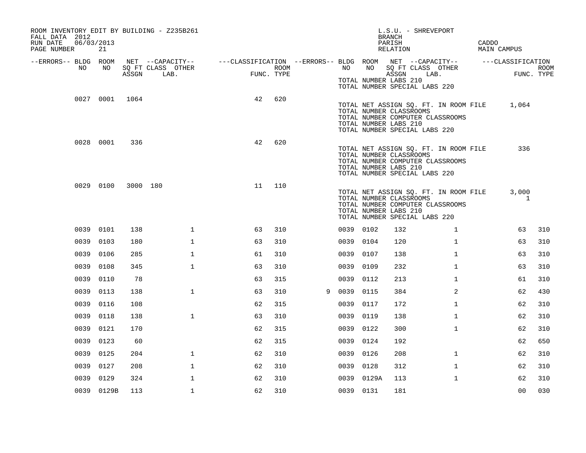| FALL DATA 2012<br>RUN DATE<br>PAGE NUMBER | 06/03/2013 | 21             |          | ROOM INVENTORY EDIT BY BUILDING - Z235B261 |                                                         |                    |   |           |            | L.S.U. - SHREVEPORT<br><b>BRANCH</b><br>PARISH<br>RELATION                                                                                                           |              | CADDO | MAIN CAMPUS       |      |
|-------------------------------------------|------------|----------------|----------|--------------------------------------------|---------------------------------------------------------|--------------------|---|-----------|------------|----------------------------------------------------------------------------------------------------------------------------------------------------------------------|--------------|-------|-------------------|------|
| --ERRORS-- BLDG ROOM                      |            |                |          | NET --CAPACITY--                           | ---CLASSIFICATION --ERRORS-- BLDG ROOM NET --CAPACITY-- |                    |   |           |            |                                                                                                                                                                      |              |       | ---CLASSIFICATION |      |
|                                           | NO         | NO             | ASSGN    | SQ FT CLASS OTHER<br>LAB.                  |                                                         | ROOM<br>FUNC. TYPE |   | NO        | NO         | SQ FT CLASS OTHER<br>ASSGN<br>LAB.<br>TOTAL NUMBER LABS 210<br>TOTAL NUMBER SPECIAL LABS 220                                                                         |              |       | FUNC. TYPE        | ROOM |
|                                           |            | 0027 0001 1064 |          |                                            | 42                                                      | 620                |   |           |            | TOTAL NET ASSIGN SQ. FT. IN ROOM FILE 1,064<br>TOTAL NUMBER CLASSROOMS<br>TOTAL NUMBER COMPUTER CLASSROOMS<br>TOTAL NUMBER LABS 210<br>TOTAL NUMBER SPECIAL LABS 220 |              |       |                   |      |
|                                           | 0028 0001  |                | 336      |                                            | 42                                                      | 620                |   |           |            | TOTAL NET ASSIGN SQ. FT. IN ROOM FILE<br>TOTAL NUMBER CLASSROOMS<br>TOTAL NUMBER COMPUTER CLASSROOMS<br>TOTAL NUMBER LABS 210<br>TOTAL NUMBER SPECIAL LABS 220       |              |       | 336               |      |
|                                           | 0029 0100  |                | 3000 180 |                                            | 11                                                      | 110                |   |           |            | TOTAL NET ASSIGN SQ. FT. IN ROOM FILE<br>TOTAL NUMBER CLASSROOMS<br>TOTAL NUMBER COMPUTER CLASSROOMS<br>TOTAL NUMBER LABS 210<br>TOTAL NUMBER SPECIAL LABS 220       |              |       | 3,000<br>1        |      |
|                                           | 0039 0101  |                | 138      | $\mathbf{1}$                               | 63                                                      | 310                |   | 0039 0102 |            | 132                                                                                                                                                                  | $\mathbf{1}$ |       | 63                | 310  |
|                                           | 0039       | 0103           | 180      | $\mathbf{1}$                               | 63                                                      | 310                |   | 0039 0104 |            | 120                                                                                                                                                                  | $\mathbf{1}$ |       | 63                | 310  |
|                                           | 0039       | 0106           | 285      | $\mathbf 1$                                | 61                                                      | 310                |   | 0039 0107 |            | 138                                                                                                                                                                  | $\mathbf{1}$ |       | 63                | 310  |
|                                           | 0039       | 0108           | 345      | $\mathbf{1}$                               | 63                                                      | 310                |   | 0039      | 0109       | 232                                                                                                                                                                  | $\mathbf{1}$ |       | 63                | 310  |
|                                           | 0039       | 0110           | 78       |                                            | 63                                                      | 315                |   | 0039 0112 |            | 213                                                                                                                                                                  | $\mathbf{1}$ |       | 61                | 310  |
|                                           | 0039       | 0113           | 138      | $\mathbf{1}$                               | 63                                                      | 310                | 9 | 0039      | 0115       | 384                                                                                                                                                                  | 2            |       | 62                | 430  |
|                                           | 0039       | 0116           | 108      |                                            | 62                                                      | 315                |   | 0039 0117 |            | 172                                                                                                                                                                  | $\mathbf{1}$ |       | 62                | 310  |
|                                           | 0039       | 0118           | 138      | $\mathbf{1}$                               | 63                                                      | 310                |   | 0039      | 0119       | 138                                                                                                                                                                  | $\mathbf{1}$ |       | 62                | 310  |
|                                           | 0039       | 0121           | 170      |                                            | 62                                                      | 315                |   | 0039 0122 |            | 300                                                                                                                                                                  | $\mathbf{1}$ |       | 62                | 310  |
|                                           | 0039       | 0123           | 60       |                                            | 62                                                      | 315                |   | 0039      | 0124       | 192                                                                                                                                                                  |              |       | 62                | 650  |
|                                           | 0039       | 0125           | 204      | $\mathbf 1$                                | 62                                                      | 310                |   | 0039 0126 |            | 208                                                                                                                                                                  | $\mathbf{1}$ |       | 62                | 310  |
|                                           | 0039       | 0127           | 208      | $\mathbf 1$                                | 62                                                      | 310                |   | 0039 0128 |            | 312                                                                                                                                                                  | $\mathbf{1}$ |       | 62                | 310  |
|                                           | 0039       | 0129           | 324      | $\mathbf 1$                                | 62                                                      | 310                |   |           | 0039 0129A | 113                                                                                                                                                                  | $\mathbf{1}$ |       | 62                | 310  |
|                                           |            | 0039 0129B     | 113      | $\mathbf{1}$                               | 62                                                      | 310                |   | 0039 0131 |            | 181                                                                                                                                                                  |              |       | 0 <sub>0</sub>    | 030  |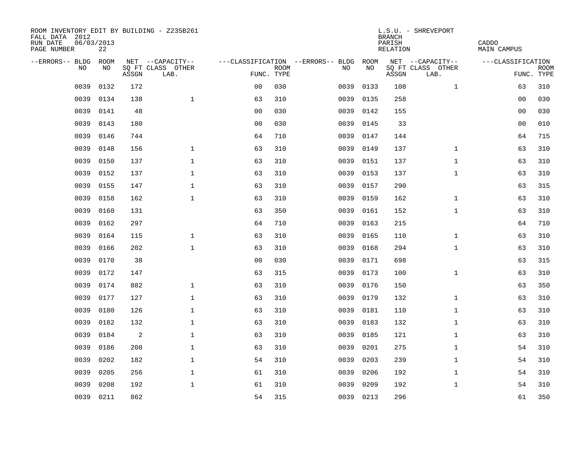| ROOM INVENTORY EDIT BY BUILDING - Z235B261<br>FALL DATA 2012<br>RUN DATE<br>PAGE NUMBER | 06/03/2013<br>22 |       |                           |                |             |                                   |           | <b>BRANCH</b><br>PARISH<br>RELATION | L.S.U. - SHREVEPORT       | CADDO<br>MAIN CAMPUS |                           |
|-----------------------------------------------------------------------------------------|------------------|-------|---------------------------|----------------|-------------|-----------------------------------|-----------|-------------------------------------|---------------------------|----------------------|---------------------------|
| --ERRORS-- BLDG                                                                         | <b>ROOM</b>      |       | NET --CAPACITY--          |                |             | ---CLASSIFICATION --ERRORS-- BLDG | ROOM      |                                     | NET --CAPACITY--          | ---CLASSIFICATION    |                           |
| N <sub>O</sub>                                                                          | NO.              | ASSGN | SO FT CLASS OTHER<br>LAB. | FUNC. TYPE     | <b>ROOM</b> | NO.                               | NO        | ASSGN                               | SQ FT CLASS OTHER<br>LAB. |                      | <b>ROOM</b><br>FUNC. TYPE |
| 0039                                                                                    | 0132             | 172   |                           | 0 <sub>0</sub> | 030         | 0039                              | 0133      | 108                                 | $\mathbf{1}$              | 63                   | 310                       |
| 0039                                                                                    | 0134             | 138   | $\mathbf{1}$              | 63             | 310         | 0039                              | 0135      | 258                                 |                           | 0 <sub>0</sub>       | 030                       |
| 0039                                                                                    | 0141             | 48    |                           | 0 <sub>0</sub> | 030         | 0039                              | 0142      | 155                                 |                           | 0 <sub>0</sub>       | 030                       |
| 0039                                                                                    | 0143             | 180   |                           | 0 <sub>0</sub> | 030         | 0039                              | 0145      | 33                                  |                           | 0 <sub>0</sub>       | 010                       |
| 0039                                                                                    | 0146             | 744   |                           | 64             | 710         | 0039                              | 0147      | 144                                 |                           | 64                   | 715                       |
| 0039                                                                                    | 0148             | 156   | $\mathbf 1$               | 63             | 310         | 0039                              | 0149      | 137                                 | $\mathbf{1}$              | 63                   | 310                       |
| 0039                                                                                    | 0150             | 137   | $\mathbf{1}$              | 63             | 310         | 0039                              | 0151      | 137                                 | $\mathbf{1}$              | 63                   | 310                       |
| 0039                                                                                    | 0152             | 137   | $\mathbf 1$               | 63             | 310         | 0039                              | 0153      | 137                                 | $\mathbf{1}$              | 63                   | 310                       |
| 0039                                                                                    | 0155             | 147   | $\mathbf{1}$              | 63             | 310         | 0039                              | 0157      | 290                                 |                           | 63                   | 315                       |
| 0039                                                                                    | 0158             | 162   | $\mathbf{1}$              | 63             | 310         | 0039                              | 0159      | 162                                 | $\mathbf{1}$              | 63                   | 310                       |
| 0039                                                                                    | 0160             | 131   |                           | 63             | 350         | 0039                              | 0161      | 152                                 | $\mathbf{1}$              | 63                   | 310                       |
| 0039                                                                                    | 0162             | 297   |                           | 64             | 710         | 0039                              | 0163      | 215                                 |                           | 64                   | 710                       |
| 0039                                                                                    | 0164             | 115   | $\mathbf{1}$              | 63             | 310         | 0039                              | 0165      | 110                                 | $\mathbf{1}$              | 63                   | 310                       |
| 0039                                                                                    | 0166             | 202   | $\mathbf{1}$              | 63             | 310         | 0039                              | 0168      | 294                                 | $\mathbf{1}$              | 63                   | 310                       |
| 0039                                                                                    | 0170             | 38    |                           | 00             | 030         | 0039                              | 0171      | 698                                 |                           | 63                   | 315                       |
| 0039                                                                                    | 0172             | 147   |                           | 63             | 315         | 0039                              | 0173      | 100                                 | $\mathbf{1}$              | 63                   | 310                       |
| 0039                                                                                    | 0174             | 882   | $\mathbf 1$               | 63             | 310         | 0039                              | 0176      | 150                                 |                           | 63                   | 350                       |
| 0039                                                                                    | 0177             | 127   | $\mathbf{1}$              | 63             | 310         | 0039                              | 0179      | 132                                 | $\mathbf{1}$              | 63                   | 310                       |
| 0039                                                                                    | 0180             | 126   | $\mathbf{1}$              | 63             | 310         | 0039                              | 0181      | 110                                 | $\mathbf{1}$              | 63                   | 310                       |
| 0039                                                                                    | 0182             | 132   | $\mathbf{1}$              | 63             | 310         | 0039                              | 0183      | 132                                 | $\mathbf{1}$              | 63                   | 310                       |
| 0039                                                                                    | 0184             | 2     | $\mathbf 1$               | 63             | 310         | 0039                              | 0185      | 121                                 | $\mathbf{1}$              | 63                   | 310                       |
| 0039                                                                                    | 0186             | 208   | $\mathbf{1}$              | 63             | 310         | 0039                              | 0201      | 275                                 | $\mathbf{1}$              | 54                   | 310                       |
| 0039                                                                                    | 0202             | 182   | $\mathbf 1$               | 54             | 310         | 0039                              | 0203      | 239                                 | $\mathbf{1}$              | 54                   | 310                       |
| 0039                                                                                    | 0205             | 256   | $\mathbf{1}$              | 61             | 310         | 0039                              | 0206      | 192                                 | $\mathbf{1}$              | 54                   | 310                       |
| 0039                                                                                    | 0208             | 192   | $\mathbf{1}$              | 61             | 310         | 0039                              | 0209      | 192                                 | $\mathbf{1}$              | 54                   | 310                       |
|                                                                                         | 0039 0211        | 862   |                           | 54             | 315         |                                   | 0039 0213 | 296                                 |                           | 61                   | 350                       |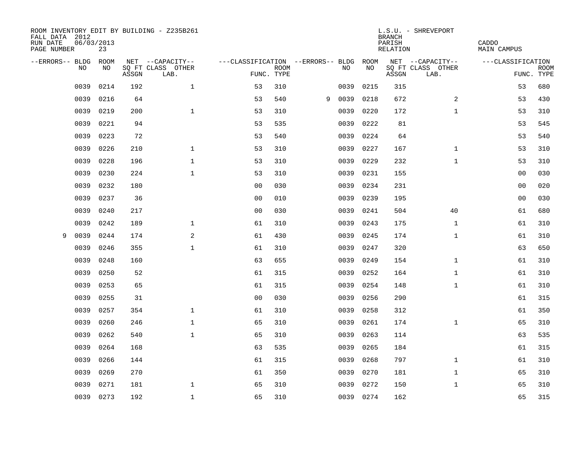| ROOM INVENTORY EDIT BY BUILDING - Z235B261<br>FALL DATA 2012<br>RUN DATE<br>PAGE NUMBER | 06/03/2013<br>23 |       |                           |                                   |             |   |           |      | <b>BRANCH</b><br>PARISH<br>RELATION | L.S.U. - SHREVEPORT       | CADDO<br><b>MAIN CAMPUS</b> |             |
|-----------------------------------------------------------------------------------------|------------------|-------|---------------------------|-----------------------------------|-------------|---|-----------|------|-------------------------------------|---------------------------|-----------------------------|-------------|
| --ERRORS-- BLDG                                                                         | <b>ROOM</b>      |       | NET --CAPACITY--          | ---CLASSIFICATION --ERRORS-- BLDG |             |   |           | ROOM |                                     | NET --CAPACITY--          | ---CLASSIFICATION           |             |
| NO                                                                                      | NO               | ASSGN | SQ FT CLASS OTHER<br>LAB. | FUNC. TYPE                        | <b>ROOM</b> |   | NO        | NO   | ASSGN                               | SQ FT CLASS OTHER<br>LAB. | FUNC. TYPE                  | <b>ROOM</b> |
| 0039                                                                                    | 0214             | 192   | $\mathbf 1$               | 53                                | 310         |   | 0039      | 0215 | 315                                 |                           | 53                          | 680         |
| 0039                                                                                    | 0216             | 64    |                           | 53                                | 540         | 9 | 0039      | 0218 | 672                                 | 2                         | 53                          | 430         |
| 0039                                                                                    | 0219             | 200   | $\mathbf{1}$              | 53                                | 310         |   | 0039      | 0220 | 172                                 | $\mathbf{1}$              | 53                          | 310         |
| 0039                                                                                    | 0221             | 94    |                           | 53                                | 535         |   | 0039      | 0222 | 81                                  |                           | 53                          | 545         |
| 0039                                                                                    | 0223             | 72    |                           | 53                                | 540         |   | 0039      | 0224 | 64                                  |                           | 53                          | 540         |
| 0039                                                                                    | 0226             | 210   | $\mathbf 1$               | 53                                | 310         |   | 0039      | 0227 | 167                                 | $\mathbf{1}$              | 53                          | 310         |
| 0039                                                                                    | 0228             | 196   | $\mathbf{1}$              | 53                                | 310         |   | 0039      | 0229 | 232                                 | $\mathbf{1}$              | 53                          | 310         |
| 0039                                                                                    | 0230             | 224   | $\mathbf 1$               | 53                                | 310         |   | 0039      | 0231 | 155                                 |                           | 0 <sub>0</sub>              | 030         |
| 0039                                                                                    | 0232             | 180   |                           | 00                                | 030         |   | 0039      | 0234 | 231                                 |                           | 0 <sub>0</sub>              | 020         |
| 0039                                                                                    | 0237             | 36    |                           | 0 <sub>0</sub>                    | 010         |   | 0039      | 0239 | 195                                 |                           | 0 <sub>0</sub>              | 030         |
| 0039                                                                                    | 0240             | 217   |                           | 0 <sub>0</sub>                    | 030         |   | 0039      | 0241 | 504                                 | 40                        | 61                          | 680         |
| 0039                                                                                    | 0242             | 189   | $\mathbf 1$               | 61                                | 310         |   | 0039      | 0243 | 175                                 | $\mathbf{1}$              | 61                          | 310         |
| 0039<br>9                                                                               | 0244             | 174   | 2                         | 61                                | 430         |   | 0039      | 0245 | 174                                 | $\mathbf{1}$              | 61                          | 310         |
| 0039                                                                                    | 0246             | 355   | $\mathbf{1}$              | 61                                | 310         |   | 0039      | 0247 | 320                                 |                           | 63                          | 650         |
| 0039                                                                                    | 0248             | 160   |                           | 63                                | 655         |   | 0039      | 0249 | 154                                 | $\mathbf{1}$              | 61                          | 310         |
| 0039                                                                                    | 0250             | 52    |                           | 61                                | 315         |   | 0039      | 0252 | 164                                 | $\mathbf{1}$              | 61                          | 310         |
| 0039                                                                                    | 0253             | 65    |                           | 61                                | 315         |   | 0039      | 0254 | 148                                 | $\mathbf{1}$              | 61                          | 310         |
| 0039                                                                                    | 0255             | 31    |                           | 0 <sub>0</sub>                    | 030         |   | 0039      | 0256 | 290                                 |                           | 61                          | 315         |
| 0039                                                                                    | 0257             | 354   | $\mathbf 1$               | 61                                | 310         |   | 0039      | 0258 | 312                                 |                           | 61                          | 350         |
| 0039                                                                                    | 0260             | 246   | $\mathbf 1$               | 65                                | 310         |   | 0039      | 0261 | 174                                 | $\mathbf{1}$              | 65                          | 310         |
| 0039                                                                                    | 0262             | 540   | $\mathbf{1}$              | 65                                | 310         |   | 0039      | 0263 | 114                                 |                           | 63                          | 535         |
| 0039                                                                                    | 0264             | 168   |                           | 63                                | 535         |   | 0039      | 0265 | 184                                 |                           | 61                          | 315         |
| 0039                                                                                    | 0266             | 144   |                           | 61                                | 315         |   | 0039      | 0268 | 797                                 | $\mathbf{1}$              | 61                          | 310         |
| 0039                                                                                    | 0269             | 270   |                           | 61                                | 350         |   | 0039      | 0270 | 181                                 | $\mathbf{1}$              | 65                          | 310         |
| 0039                                                                                    | 0271             | 181   | $\mathbf 1$               | 65                                | 310         |   | 0039      | 0272 | 150                                 | $\mathbf{1}$              | 65                          | 310         |
|                                                                                         | 0039 0273        | 192   | $\mathbf{1}$              | 65                                | 310         |   | 0039 0274 |      | 162                                 |                           | 65                          | 315         |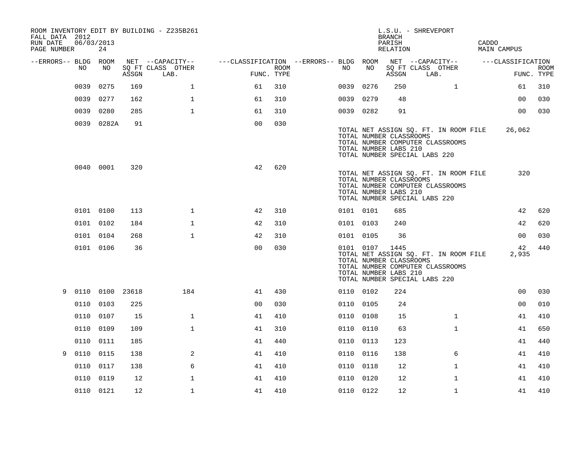| FALL DATA 2012<br>RUN DATE<br>PAGE NUMBER | 06/03/2013 | 24              |       | ROOM INVENTORY EDIT BY BUILDING - Z235B261    |                                                      |      |           |                                                               | <b>BRANCH</b><br>PARISH<br>RELATION | L.S.U. - SHREVEPORT                                                                                        | CADDO | MAIN CAMPUS       |                           |
|-------------------------------------------|------------|-----------------|-------|-----------------------------------------------|------------------------------------------------------|------|-----------|---------------------------------------------------------------|-------------------------------------|------------------------------------------------------------------------------------------------------------|-------|-------------------|---------------------------|
| --ERRORS-- BLDG ROOM                      | NO         | NO              | ASSGN | NET --CAPACITY--<br>SQ FT CLASS OTHER<br>LAB. | ---CLASSIFICATION --ERRORS-- BLDG ROOM<br>FUNC. TYPE | ROOM | NO        | NO                                                            | ASSGN                               | NET --CAPACITY--<br>SQ FT CLASS OTHER<br>LAB.                                                              |       | ---CLASSIFICATION | <b>ROOM</b><br>FUNC. TYPE |
|                                           | 0039       | 0275            | 169   | $\mathbf{1}$                                  | 61                                                   | 310  | 0039      | 0276                                                          | 250                                 | $\mathbf{1}$                                                                                               |       | 61                | 310                       |
|                                           | 0039       | 0277            | 162   | $\mathbf{1}$                                  | 61                                                   | 310  | 0039      | 0279                                                          | 48                                  |                                                                                                            |       | 00                | 030                       |
|                                           | 0039       | 0280            | 285   | $\mathbf{1}$                                  | 61                                                   | 310  | 0039 0282 |                                                               | 91                                  |                                                                                                            |       | 00                | 030                       |
|                                           |            | 0039 0282A      | 91    |                                               | 0 <sub>0</sub>                                       | 030  |           | TOTAL NUMBER CLASSROOMS<br>TOTAL NUMBER LABS 210              |                                     | TOTAL NET ASSIGN SQ. FT. IN ROOM FILE<br>TOTAL NUMBER COMPUTER CLASSROOMS<br>TOTAL NUMBER SPECIAL LABS 220 |       | 26,062            |                           |
|                                           |            | 0040 0001       | 320   |                                               | 42                                                   | 620  |           | TOTAL NUMBER CLASSROOMS<br>TOTAL NUMBER LABS 210              |                                     | TOTAL NET ASSIGN SQ. FT. IN ROOM FILE<br>TOTAL NUMBER COMPUTER CLASSROOMS<br>TOTAL NUMBER SPECIAL LABS 220 |       | 320               |                           |
|                                           | 0101 0100  |                 | 113   | $\mathbf 1$                                   | 42                                                   | 310  | 0101 0101 |                                                               | 685                                 |                                                                                                            |       | 42                | 620                       |
|                                           | 0101 0102  |                 | 184   | $\mathbf 1$                                   | 42                                                   | 310  | 0101 0103 |                                                               | 240                                 |                                                                                                            |       | 42                | 620                       |
|                                           | 0101 0104  |                 | 268   | $\mathbf 1$                                   | 42                                                   | 310  | 0101 0105 |                                                               | 36                                  |                                                                                                            |       | 0 <sub>0</sub>    | 030                       |
|                                           |            | 0101 0106       | 36    |                                               | 0 <sub>0</sub>                                       | 030  |           | 0101 0107<br>TOTAL NUMBER CLASSROOMS<br>TOTAL NUMBER LABS 210 | 1445                                | TOTAL NET ASSIGN SQ. FT. IN ROOM FILE<br>TOTAL NUMBER COMPUTER CLASSROOMS<br>TOTAL NUMBER SPECIAL LABS 220 |       | 42<br>2,935       | 440                       |
| 9                                         |            | 0110 0100 23618 |       | 184                                           | 41                                                   | 430  | 0110 0102 |                                                               | 224                                 |                                                                                                            |       | 0 <sub>0</sub>    | 030                       |
|                                           | 0110       | 0103            | 225   |                                               | 0 <sub>0</sub>                                       | 030  | 0110 0105 |                                                               | 24                                  |                                                                                                            |       | 00                | 010                       |
|                                           | 0110       | 0107            | 15    | $\mathbf 1$                                   | 41                                                   | 410  | 0110 0108 |                                                               | 15                                  | $\mathbf{1}$                                                                                               |       | 41                | 410                       |
|                                           | 0110 0109  |                 | 109   | $\mathbf{1}$                                  | 41                                                   | 310  | 0110 0110 |                                                               | 63                                  | $\mathbf{1}$                                                                                               |       | 41                | 650                       |
|                                           | 0110       | 0111            | 185   |                                               | 41                                                   | 440  | 0110      | 0113                                                          | 123                                 |                                                                                                            |       | 41                | 440                       |
| 9                                         | 0110 0115  |                 | 138   | 2                                             | 41                                                   | 410  | 0110 0116 |                                                               | 138                                 | 6                                                                                                          |       | 41                | 410                       |
|                                           | 0110       | 0117            | 138   | 6                                             | 41                                                   | 410  | 0110 0118 |                                                               | 12                                  | $\mathbf{1}$                                                                                               |       | 41                | 410                       |
|                                           | 0110       | 0119            | 12    | $\mathbf{1}$                                  | 41                                                   | 410  | 0110 0120 |                                                               | 12                                  | $\mathbf{1}$                                                                                               |       | 41                | 410                       |
|                                           | 0110 0121  |                 | 12    | $\mathbf{1}$                                  | 41                                                   | 410  | 0110 0122 |                                                               | 12                                  | $\mathbf{1}$                                                                                               |       | 41                | 410                       |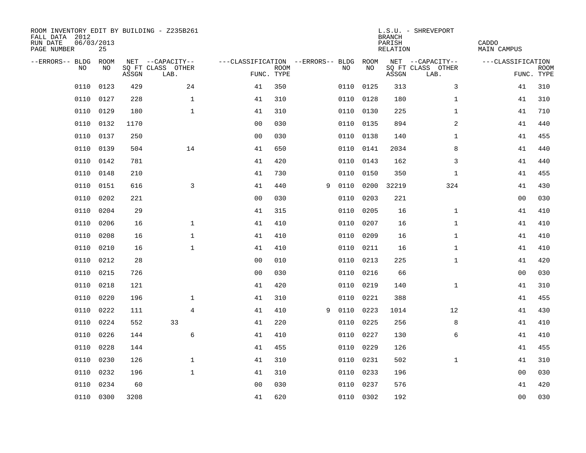| ROOM INVENTORY EDIT BY BUILDING - Z235B261<br>FALL DATA 2012<br>RUN DATE<br>PAGE NUMBER | 06/03/2013<br>25 |       |                           |                                        | CADDO<br><b>MAIN CAMPUS</b> |   |           |           |       |                           |                   |                           |
|-----------------------------------------------------------------------------------------|------------------|-------|---------------------------|----------------------------------------|-----------------------------|---|-----------|-----------|-------|---------------------------|-------------------|---------------------------|
| --ERRORS-- BLDG                                                                         | ROOM             |       | NET --CAPACITY--          | ---CLASSIFICATION --ERRORS-- BLDG ROOM |                             |   |           |           |       | NET --CAPACITY--          | ---CLASSIFICATION |                           |
| NO                                                                                      | NO               | ASSGN | SQ FT CLASS OTHER<br>LAB. | FUNC. TYPE                             | <b>ROOM</b>                 |   | NO        | NO        | ASSGN | SQ FT CLASS OTHER<br>LAB. |                   | <b>ROOM</b><br>FUNC. TYPE |
| 0110                                                                                    | 0123             | 429   | 24                        | 41                                     | 350                         |   | 0110      | 0125      | 313   | 3                         | 41                | 310                       |
| 0110                                                                                    | 0127             | 228   | $\mathbf 1$               | 41                                     | 310                         |   | 0110 0128 |           | 180   | $\mathbf{1}$              | 41                | 310                       |
| 0110                                                                                    | 0129             | 180   | $\mathbf 1$               | 41                                     | 310                         |   | 0110      | 0130      | 225   | $\mathbf{1}$              | 41                | 710                       |
| 0110                                                                                    | 0132             | 1170  |                           | 0 <sub>0</sub>                         | 030                         |   | 0110 0135 |           | 894   | 2                         | 41                | 440                       |
| 0110                                                                                    | 0137             | 250   |                           | 00                                     | 030                         |   | 0110      | 0138      | 140   | $\mathbf{1}$              | 41                | 455                       |
| 0110                                                                                    | 0139             | 504   | 14                        | 41                                     | 650                         |   | 0110 0141 |           | 2034  | 8                         | 41                | 440                       |
| 0110                                                                                    | 0142             | 781   |                           | 41                                     | 420                         |   | 0110 0143 |           | 162   | 3                         | 41                | 440                       |
| 0110                                                                                    | 0148             | 210   |                           | 41                                     | 730                         |   | 0110      | 0150      | 350   | $\mathbf{1}$              | 41                | 455                       |
| 0110                                                                                    | 0151             | 616   | $\overline{3}$            | 41                                     | 440                         | 9 | 0110      | 0200      | 32219 | 324                       | 41                | 430                       |
| 0110                                                                                    | 0202             | 221   |                           | 0 <sub>0</sub>                         | 030                         |   | 0110      | 0203      | 221   |                           | 00                | 030                       |
| 0110                                                                                    | 0204             | 29    |                           | 41                                     | 315                         |   | 0110      | 0205      | 16    | $\mathbf{1}$              | 41                | 410                       |
| 0110                                                                                    | 0206             | 16    | $\mathbf 1$               | 41                                     | 410                         |   | 0110      | 0207      | 16    | $\mathbf{1}$              | 41                | 410                       |
| 0110                                                                                    | 0208             | 16    | $\mathbf{1}$              | 41                                     | 410                         |   | 0110      | 0209      | 16    | $\mathbf{1}$              | 41                | 410                       |
| 0110                                                                                    | 0210             | 16    | $\mathbf{1}$              | 41                                     | 410                         |   | 0110      | 0211      | 16    | $\mathbf{1}$              | 41                | 410                       |
| 0110                                                                                    | 0212             | 28    |                           | 0 <sub>0</sub>                         | 010                         |   | 0110      | 0213      | 225   | $\mathbf{1}$              | 41                | 420                       |
| 0110                                                                                    | 0215             | 726   |                           | 00                                     | 030                         |   | 0110      | 0216      | 66    |                           | 00                | 030                       |
| 0110                                                                                    | 0218             | 121   |                           | 41                                     | 420                         |   | 0110      | 0219      | 140   | $\mathbf{1}$              | 41                | 310                       |
| 0110                                                                                    | 0220             | 196   | $\mathbf 1$               | 41                                     | 310                         |   | 0110      | 0221      | 388   |                           | 41                | 455                       |
| 0110                                                                                    | 0222             | 111   | $\overline{4}$            | 41                                     | 410                         | 9 | 0110      | 0223      | 1014  | 12                        | 41                | 430                       |
| 0110                                                                                    | 0224             | 552   | 33                        | 41                                     | 220                         |   | 0110      | 0225      | 256   | 8                         | 41                | 410                       |
| 0110                                                                                    | 0226             | 144   | 6                         | 41                                     | 410                         |   | 0110      | 0227      | 130   | 6                         | 41                | 410                       |
| 0110                                                                                    | 0228             | 144   |                           | 41                                     | 455                         |   | 0110      | 0229      | 126   |                           | 41                | 455                       |
| 0110                                                                                    | 0230             | 126   | $\mathbf{1}$              | 41                                     | 310                         |   | 0110 0231 |           | 502   | $\mathbf{1}$              | 41                | 310                       |
| 0110                                                                                    | 0232             | 196   | $\mathbf 1$               | 41                                     | 310                         |   | 0110      | 0233      | 196   |                           | 00                | 030                       |
| 0110                                                                                    | 0234             | 60    |                           | 0 <sub>0</sub>                         | 030                         |   | 0110 0237 |           | 576   |                           | 41                | 420                       |
|                                                                                         | 0110 0300        | 3208  |                           | 41                                     | 620                         |   |           | 0110 0302 | 192   |                           | 0 <sub>0</sub>    | 030                       |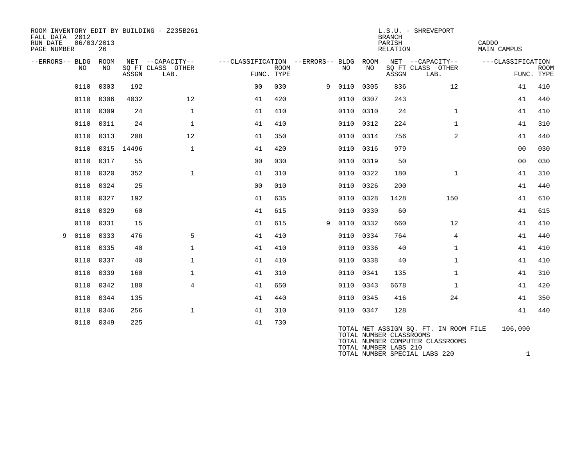| ROOM INVENTORY EDIT BY BUILDING - Z235B261<br>FALL DATA 2012<br>RUN DATE<br>PAGE NUMBER | 06/03/2013<br>26 |            |                           |                                   |      |   |           |      | <b>BRANCH</b><br>PARISH<br><b>RELATION</b>       | L.S.U. - SHREVEPORT                                                       | CADDO<br>MAIN CAMPUS |                           |
|-----------------------------------------------------------------------------------------|------------------|------------|---------------------------|-----------------------------------|------|---|-----------|------|--------------------------------------------------|---------------------------------------------------------------------------|----------------------|---------------------------|
| --ERRORS-- BLDG                                                                         | ROOM             |            | NET --CAPACITY--          | ---CLASSIFICATION --ERRORS-- BLDG |      |   |           | ROOM |                                                  | NET --CAPACITY--                                                          | ---CLASSIFICATION    |                           |
| NO                                                                                      | NO               | ASSGN      | SQ FT CLASS OTHER<br>LAB. | FUNC. TYPE                        | ROOM |   | NO        | NO   | ASSGN                                            | SQ FT CLASS OTHER<br>LAB.                                                 |                      | <b>ROOM</b><br>FUNC. TYPE |
| 0110                                                                                    | 0303             | 192        |                           | 0 <sup>0</sup>                    | 030  |   | 9 0110    | 0305 | 836                                              | $12 \overline{ }$                                                         | 41                   | 410                       |
| 0110                                                                                    | 0306             | 4032       | 12                        | 41                                | 420  |   | 0110      | 0307 | 243                                              |                                                                           | 41                   | 440                       |
| 0110                                                                                    | 0309             | 24         | $\mathbf{1}$              | 41                                | 410  |   | 0110      | 0310 | 24                                               | $\mathbf{1}$                                                              | 41                   | 410                       |
| 0110                                                                                    | 0311             | 24         | $\mathbf{1}$              | 41                                | 410  |   | 0110      | 0312 | 224                                              | $\mathbf{1}$                                                              | 41                   | 310                       |
| 0110                                                                                    | 0313             | 208        | 12                        | 41                                | 350  |   | 0110 0314 |      | 756                                              | 2                                                                         | 41                   | 440                       |
| 0110                                                                                    |                  | 0315 14496 | $\mathbf{1}$              | 41                                | 420  |   | 0110      | 0316 | 979                                              |                                                                           | 0 <sub>0</sub>       | 030                       |
| 0110                                                                                    | 0317             | 55         |                           | 0 <sub>0</sub>                    | 030  |   | 0110      | 0319 | 50                                               |                                                                           | 0 <sub>0</sub>       | 030                       |
| 0110                                                                                    | 0320             | 352        | $\mathbf{1}$              | 41                                | 310  |   | 0110      | 0322 | 180                                              | $\mathbf{1}$                                                              | 41                   | 310                       |
| 0110                                                                                    | 0324             | 25         |                           | 0 <sub>0</sub>                    | 010  |   | 0110      | 0326 | 200                                              |                                                                           | 41                   | 440                       |
| 0110                                                                                    | 0327             | 192        |                           | 41                                | 635  |   | 0110      | 0328 | 1428                                             | 150                                                                       | 41                   | 610                       |
| 0110                                                                                    | 0329             | 60         |                           | 41                                | 615  |   | 0110      | 0330 | 60                                               |                                                                           | 41                   | 615                       |
| 0110                                                                                    | 0331             | 15         |                           | 41                                | 615  | 9 | 0110 0332 |      | 660                                              | 12                                                                        | 41                   | 410                       |
| 0110<br>9                                                                               | 0333             | 476        | 5                         | 41                                | 410  |   | 0110      | 0334 | 764                                              | 4                                                                         | 41                   | 440                       |
| 0110                                                                                    | 0335             | 40         | $\mathbf 1$               | 41                                | 410  |   | 0110      | 0336 | 40                                               | $\mathbf{1}$                                                              | 41                   | 410                       |
| 0110                                                                                    | 0337             | 40         | $\mathbf 1$               | 41                                | 410  |   | 0110      | 0338 | 40                                               | $\mathbf{1}$                                                              | 41                   | 410                       |
| 0110                                                                                    | 0339             | 160        | $\mathbf{1}$              | 41                                | 310  |   | 0110 0341 |      | 135                                              | $\mathbf{1}$                                                              | 41                   | 310                       |
| 0110                                                                                    | 0342             | 180        | $\overline{4}$            | 41                                | 650  |   | 0110      | 0343 | 6678                                             | $\mathbf{1}$                                                              | 41                   | 420                       |
| 0110                                                                                    | 0344             | 135        |                           | 41                                | 440  |   | 0110      | 0345 | 416                                              | 24                                                                        | 41                   | 350                       |
| 0110                                                                                    | 0346             | 256        | $\mathbf 1$               | 41                                | 310  |   | 0110 0347 |      | 128                                              |                                                                           | 41                   | 440                       |
|                                                                                         | 0110 0349        | 225        |                           | 41                                | 730  |   |           |      | TOTAL NUMBER CLASSROOMS<br>TOTAL NUMBER LABS 210 | TOTAL NET ASSIGN SQ. FT. IN ROOM FILE<br>TOTAL NUMBER COMPUTER CLASSROOMS | 106,090              |                           |

TOTAL NUMBER SPECIAL LABS 220 1